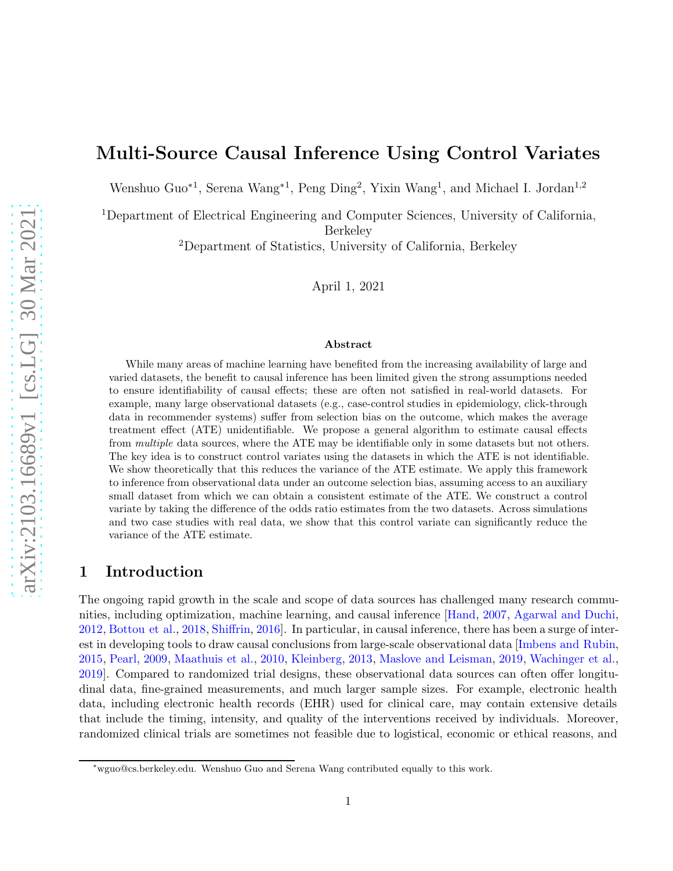# <span id="page-0-0"></span>Multi-Source Causal Inference Using Control Variates

Wenshuo Guo<sup>∗1</sup>, Serena Wang<sup>∗1</sup>, Peng Ding<sup>2</sup>, Yixin Wang<sup>1</sup>, and Michael I. Jordan<sup>1,2</sup>

<sup>1</sup>Department of Electrical Engineering and Computer Sciences, University of California, Berkeley

<sup>2</sup>Department of Statistics, University of California, Berkeley

April 1, 2021

#### Abstract

While many areas of machine learning have benefited from the increasing availability of large and varied datasets, the benefit to causal inference has been limited given the strong assumptions needed to ensure identifiability of causal effects; these are often not satisfied in real-world datasets. For example, many large observational datasets (e.g., case-control studies in epidemiology, click-through data in recommender systems) suffer from selection bias on the outcome, which makes the average treatment effect (ATE) unidentifiable. We propose a general algorithm to estimate causal effects from *multiple* data sources, where the ATE may be identifiable only in some datasets but not others. The key idea is to construct control variates using the datasets in which the ATE is not identifiable. We show theoretically that this reduces the variance of the ATE estimate. We apply this framework to inference from observational data under an outcome selection bias, assuming access to an auxiliary small dataset from which we can obtain a consistent estimate of the ATE. We construct a control variate by taking the difference of the odds ratio estimates from the two datasets. Across simulations and two case studies with real data, we show that this control variate can significantly reduce the variance of the ATE estimate.

### 1 Introduction

The ongoing rapid growth in the scale and scope of data sources has challenged many research communities, including optimization, machine learning, and causal inference [\[Hand,](#page-13-0) [2007](#page-13-0), [Agarwal and Duchi](#page-12-0), [2012](#page-12-0), [Bottou et al.](#page-13-1), [2018](#page-13-1), [Shiffrin,](#page-15-0) [2016](#page-15-0)]. In particular, in causal inference, there has been a surge of interest in developing tools to draw causal conclusions from large-scale observational data [\[Imbens and Rubin](#page-14-0), [2015](#page-14-0), [Pearl](#page-14-1), [2009](#page-14-1), [Maathuis et al.,](#page-14-2) [2010,](#page-14-2) [Kleinberg](#page-14-3), [2013](#page-14-3), [Maslove and Leisman,](#page-14-4) [2019](#page-14-4), [Wachinger et al.](#page-15-1), [2019](#page-15-1)]. Compared to randomized trial designs, these observational data sources can often offer longitudinal data, fine-grained measurements, and much larger sample sizes. For example, electronic health data, including electronic health records (EHR) used for clinical care, may contain extensive details that include the timing, intensity, and quality of the interventions received by individuals. Moreover, randomized clinical trials are sometimes not feasible due to logistical, economic or ethical reasons, and

<sup>∗</sup>wguo@cs.berkeley.edu. Wenshuo Guo and Serena Wang contributed equally to this work.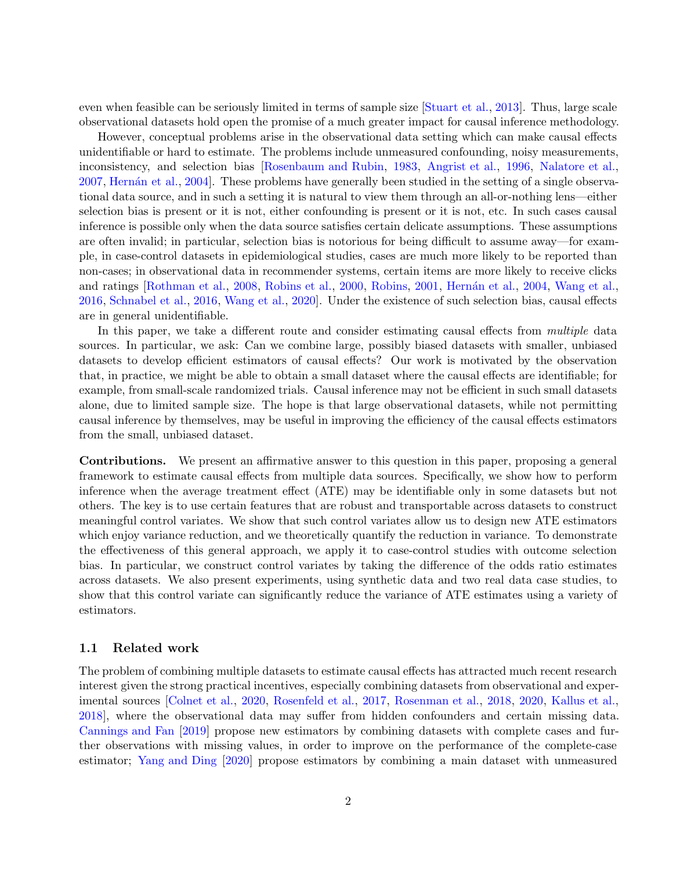<span id="page-1-0"></span>even when feasible can be seriously limited in terms of sample size [\[Stuart et al.,](#page-15-2) [2013](#page-15-2)]. Thus, large scale observational datasets hold open the promise of a much greater impact for causal inference methodology.

However, conceptual problems arise in the observational data setting which can make causal effects unidentifiable or hard to estimate. The problems include unmeasured confounding, noisy measurements, inconsistency, and selection bias [\[Rosenbaum and Rubin,](#page-14-5) [1983,](#page-14-5) [Angrist et al.](#page-13-2), [1996](#page-13-2), [Nalatore et al.](#page-14-6), [2007](#page-14-6), [Hern´an et al.](#page-13-3), [2004\]](#page-13-3). These problems have generally been studied in the setting of a single observational data source, and in such a setting it is natural to view them through an all-or-nothing lens—either selection bias is present or it is not, either confounding is present or it is not, etc. In such cases causal inference is possible only when the data source satisfies certain delicate assumptions. These assumptions are often invalid; in particular, selection bias is notorious for being difficult to assume away—for example, in case-control datasets in epidemiological studies, cases are much more likely to be reported than non-cases; in observational data in recommender systems, certain items are more likely to receive clicks and ratings [\[Rothman et al.](#page-15-3), [2008](#page-15-3), [Robins et al.](#page-14-7), [2000,](#page-14-7) [Robins,](#page-14-8) [2001](#page-14-8), Hernán et al., [2004](#page-13-3), [Wang et al.](#page-15-4), [2016](#page-15-4), [Schnabel et al.](#page-15-5), [2016](#page-15-5), [Wang et al.](#page-15-6), [2020](#page-15-6)]. Under the existence of such selection bias, causal effects are in general unidentifiable.

In this paper, we take a different route and consider estimating causal effects from multiple data sources. In particular, we ask: Can we combine large, possibly biased datasets with smaller, unbiased datasets to develop efficient estimators of causal effects? Our work is motivated by the observation that, in practice, we might be able to obtain a small dataset where the causal effects are identifiable; for example, from small-scale randomized trials. Causal inference may not be efficient in such small datasets alone, due to limited sample size. The hope is that large observational datasets, while not permitting causal inference by themselves, may be useful in improving the efficiency of the causal effects estimators from the small, unbiased dataset.

Contributions. We present an affirmative answer to this question in this paper, proposing a general framework to estimate causal effects from multiple data sources. Specifically, we show how to perform inference when the average treatment effect (ATE) may be identifiable only in some datasets but not others. The key is to use certain features that are robust and transportable across datasets to construct meaningful control variates. We show that such control variates allow us to design new ATE estimators which enjoy variance reduction, and we theoretically quantify the reduction in variance. To demonstrate the effectiveness of this general approach, we apply it to case-control studies with outcome selection bias. In particular, we construct control variates by taking the difference of the odds ratio estimates across datasets. We also present experiments, using synthetic data and two real data case studies, to show that this control variate can significantly reduce the variance of ATE estimates using a variety of estimators.

### 1.1 Related work

The problem of combining multiple datasets to estimate causal effects has attracted much recent research interest given the strong practical incentives, especially combining datasets from observational and experimental sources [\[Colnet et al.](#page-13-4), [2020](#page-13-4), [Rosenfeld et al.,](#page-15-7) [2017,](#page-15-7) [Rosenman et al.](#page-15-8), [2018](#page-15-8), [2020](#page-15-9), [Kallus et al.](#page-14-9), [2018](#page-14-9)], where the observational data may suffer from hidden confounders and certain missing data. [Cannings and Fan](#page-13-5) [\[2019\]](#page-13-5) propose new estimators by combining datasets with complete cases and further observations with missing values, in order to improve on the performance of the complete-case estimator; [Yang and Ding](#page-16-0) [\[2020](#page-16-0)] propose estimators by combining a main dataset with unmeasured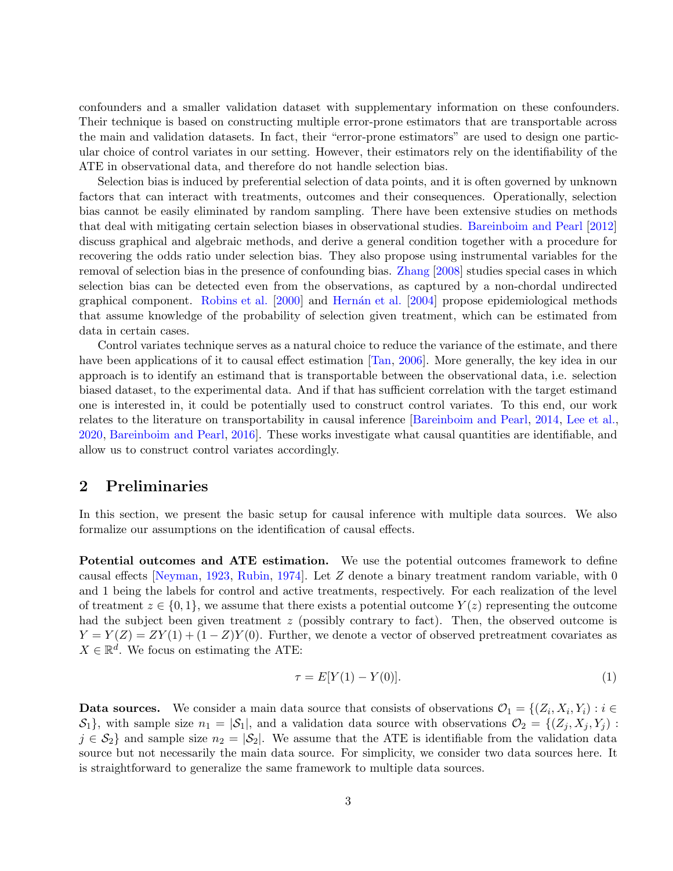<span id="page-2-1"></span>confounders and a smaller validation dataset with supplementary information on these confounders. Their technique is based on constructing multiple error-prone estimators that are transportable across the main and validation datasets. In fact, their "error-prone estimators" are used to design one particular choice of control variates in our setting. However, their estimators rely on the identifiability of the ATE in observational data, and therefore do not handle selection bias.

Selection bias is induced by preferential selection of data points, and it is often governed by unknown factors that can interact with treatments, outcomes and their consequences. Operationally, selection bias cannot be easily eliminated by random sampling. There have been extensive studies on methods that deal with mitigating certain selection biases in observational studies. [Bareinboim and Pearl](#page-13-6) [\[2012](#page-13-6)] discuss graphical and algebraic methods, and derive a general condition together with a procedure for recovering the odds ratio under selection bias. They also propose using instrumental variables for the removal of selection bias in the presence of confounding bias. [Zhang](#page-16-1) [\[2008](#page-16-1)] studies special cases in which selection bias can be detected even from the observations, as captured by a non-chordal undirected graphical component. [Robins et al.](#page-14-7) [\[2000](#page-14-7)] and Hernán et al. [\[2004](#page-13-3)] propose epidemiological methods that assume knowledge of the probability of selection given treatment, which can be estimated from data in certain cases.

Control variates technique serves as a natural choice to reduce the variance of the estimate, and there have been applications of it to causal effect estimation  $\text{Tan}, 2006$  $\text{Tan}, 2006$ . More generally, the key idea in our approach is to identify an estimand that is transportable between the observational data, i.e. selection biased dataset, to the experimental data. And if that has sufficient correlation with the target estimand one is interested in, it could be potentially used to construct control variates. To this end, our work relates to the literature on transportability in causal inference [\[Bareinboim and Pearl](#page-13-7), [2014,](#page-13-7) [Lee et al.](#page-14-10), [2020](#page-14-10), [Bareinboim and Pearl](#page-13-8), [2016](#page-13-8)]. These works investigate what causal quantities are identifiable, and allow us to construct control variates accordingly.

# 2 Preliminaries

In this section, we present the basic setup for causal inference with multiple data sources. We also formalize our assumptions on the identification of causal effects.

Potential outcomes and ATE estimation. We use the potential outcomes framework to define causal effects [\[Neyman,](#page-14-11) [1923](#page-14-11), [Rubin,](#page-15-11) [1974](#page-15-11)]. Let Z denote a binary treatment random variable, with 0 and 1 being the labels for control and active treatments, respectively. For each realization of the level of treatment  $z \in \{0,1\}$ , we assume that there exists a potential outcome  $Y(z)$  representing the outcome had the subject been given treatment  $z$  (possibly contrary to fact). Then, the observed outcome is  $Y = Y(Z) = ZY(1) + (1 - Z)Y(0)$ . Further, we denote a vector of observed pretreatment covariates as  $X \in \mathbb{R}^d$ . We focus on estimating the ATE:

<span id="page-2-0"></span>
$$
\tau = E[Y(1) - Y(0)].
$$
\n(1)

**Data sources.** We consider a main data source that consists of observations  $\mathcal{O}_1 = \{(Z_i, X_i, Y_i) : i \in \mathcal{O}_1\}$  $S_1$ , with sample size  $n_1 = |S_1|$ , and a validation data source with observations  $\mathcal{O}_2 = \{(Z_i, X_j, Y_j) :$  $j \in S_2$  and sample size  $n_2 = |S_2|$ . We assume that the ATE is identifiable from the validation data source but not necessarily the main data source. For simplicity, we consider two data sources here. It is straightforward to generalize the same framework to multiple data sources.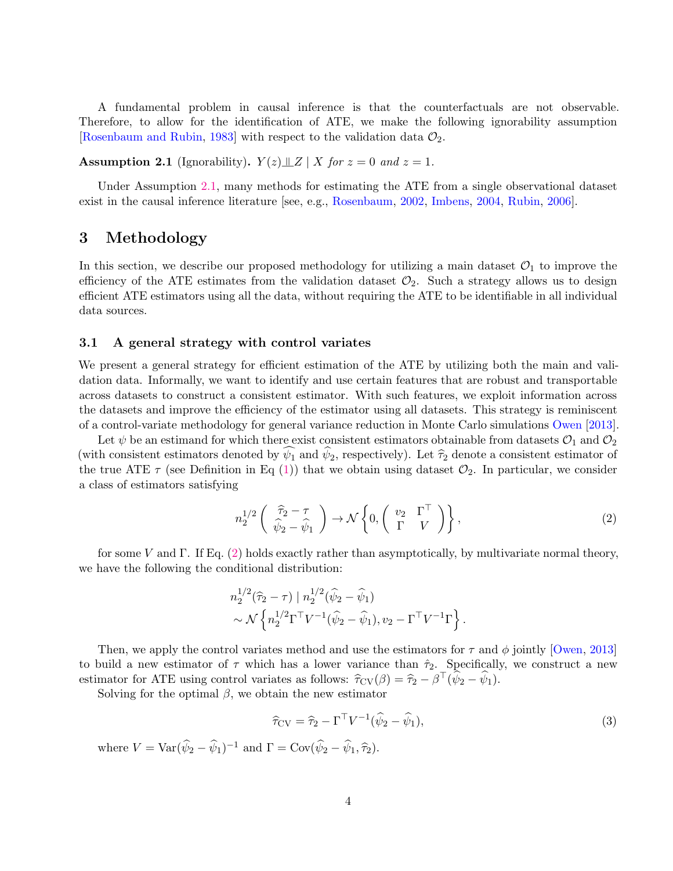<span id="page-3-3"></span>A fundamental problem in causal inference is that the counterfactuals are not observable. Therefore, to allow for the identification of ATE, we make the following ignorability assumption [\[Rosenbaum and Rubin](#page-14-5), [1983](#page-14-5)] with respect to the validation data  $\mathcal{O}_2$ .

<span id="page-3-0"></span>**Assumption 2.1** (Ignorability).  $Y(z) \perp Z \mid X$  for  $z = 0$  and  $z = 1$ .

Under Assumption [2.1,](#page-3-0) many methods for estimating the ATE from a single observational dataset exist in the causal inference literature [see, e.g., [Rosenbaum,](#page-14-12) [2002](#page-14-12), [Imbens](#page-14-13), [2004](#page-14-13), [Rubin,](#page-15-12) [2006\]](#page-15-12).

### <span id="page-3-4"></span>3 Methodology

In this section, we describe our proposed methodology for utilizing a main dataset  $\mathcal{O}_1$  to improve the efficiency of the ATE estimates from the validation dataset  $\mathcal{O}_2$ . Such a strategy allows us to design efficient ATE estimators using all the data, without requiring the ATE to be identifiable in all individual data sources.

### 3.1 A general strategy with control variates

We present a general strategy for efficient estimation of the ATE by utilizing both the main and validation data. Informally, we want to identify and use certain features that are robust and transportable across datasets to construct a consistent estimator. With such features, we exploit information across the datasets and improve the efficiency of the estimator using all datasets. This strategy is reminiscent of a control-variate methodology for general variance reduction in Monte Carlo simulations [Owen](#page-14-14) [\[2013](#page-14-14)].

Let  $\psi$  be an estimand for which there exist consistent estimators obtainable from datasets  $\mathcal{O}_1$  and  $\mathcal{O}_2$ (with consistent estimators denoted by  $\psi_1$  and  $\psi_2$ , respectively). Let  $\hat{\tau}_2$  denote a consistent estimator of the true ATE  $\tau$  (see Definition in Eq [\(1\)](#page-2-0)) that we obtain using dataset  $\mathcal{O}_2$ . In particular, we consider a class of estimators satisfying

<span id="page-3-1"></span>
$$
n_2^{1/2} \begin{pmatrix} \hat{\tau}_2 - \tau \\ \hat{\psi}_2 - \hat{\psi}_1 \end{pmatrix} \to \mathcal{N} \begin{pmatrix} v_2 & \Gamma^{\top} \\ \Gamma & V \end{pmatrix},
$$
 (2)

for some V and Γ. If Eq. [\(2\)](#page-3-1) holds exactly rather than asymptotically, by multivariate normal theory, we have the following the conditional distribution:

$$
n_2^{1/2}(\hat{\tau}_2 - \tau) | n_2^{1/2}(\hat{\psi}_2 - \hat{\psi}_1) \sim \mathcal{N}\left\{n_2^{1/2}\Gamma^{\top}V^{-1}(\hat{\psi}_2 - \hat{\psi}_1), v_2 - \Gamma^{\top}V^{-1}\Gamma\right\}.
$$

Then, we apply the control variates method and use the estimators for  $\tau$  and  $\phi$  jointly [\[Owen](#page-14-14), [2013](#page-14-14)] to build a new estimator of  $\tau$  which has a lower variance than  $\hat{\tau}_2$ . Specifically, we construct a new estimator for ATE using control variates as follows:  $\hat{\tau}_{CV}(\beta) = \hat{\tau}_2 - \beta^{\top}(\hat{\psi}_2 - \hat{\psi}_1).$ 

Solving for the optimal  $\beta$ , we obtain the new estimator

<span id="page-3-2"></span>
$$
\widehat{\tau}_{CV} = \widehat{\tau}_2 - \Gamma^{\top} V^{-1} (\widehat{\psi}_2 - \widehat{\psi}_1), \tag{3}
$$

where  $V = \text{Var}(\hat{\psi}_2 - \hat{\psi}_1)^{-1}$  and  $\Gamma = \text{Cov}(\hat{\psi}_2 - \hat{\psi}_1, \hat{\tau}_2)$ .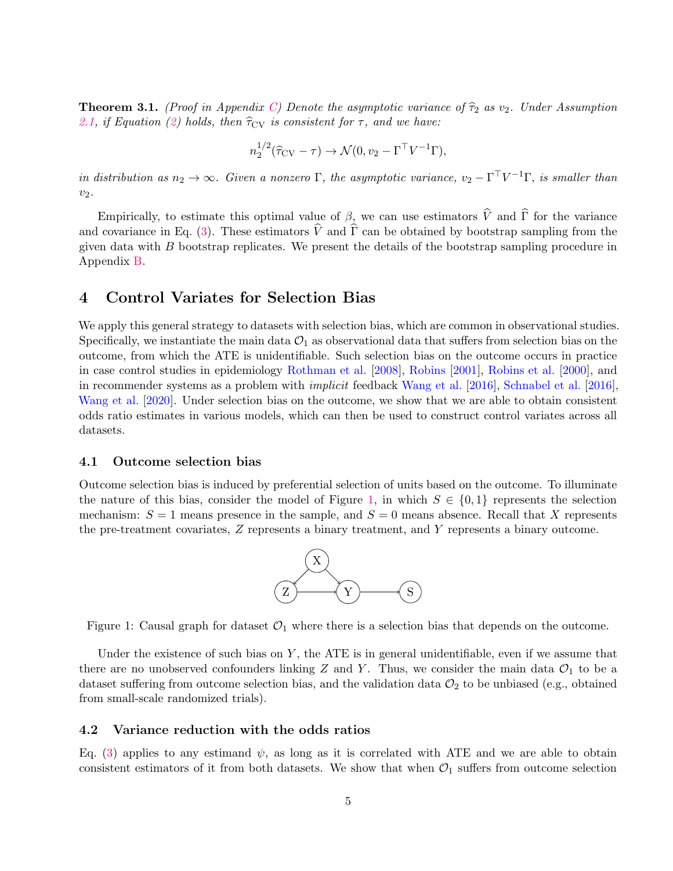<span id="page-4-3"></span><span id="page-4-1"></span>**Theorem 3.1.** (Proof in Appendix [C\)](#page-22-0) Denote the asymptotic variance of  $\hat{\tau}_2$  as  $v_2$ . Under Assumption [2.1,](#page-3-0) if Equation [\(2\)](#page-3-1) holds, then  $\hat{\tau}_{CV}$  is consistent for  $\tau$ , and we have:

$$
n_2^{1/2}(\widehat{\tau}_{CV}-\tau) \to \mathcal{N}(0, v_2 - \Gamma^{\top} V^{-1} \Gamma),
$$

in distribution as  $n_2 \to \infty$ . Given a nonzero  $\Gamma$ , the asymptotic variance,  $v_2 - \Gamma^{\top} V^{-1} \Gamma$ , is smaller than  $v_2$ .

Empirically, to estimate this optimal value of  $\beta$ , we can use estimators  $\hat{V}$  and  $\hat{\Gamma}$  for the variance and covariance in Eq. [\(3\)](#page-3-2). These estimators  $\hat{V}$  and  $\hat{\Gamma}$  can be obtained by bootstrap sampling from the given data with B bootstrap replicates. We present the details of the bootstrap sampling procedure in Appendix [B.](#page-21-0)

# <span id="page-4-2"></span>4 Control Variates for Selection Bias

We apply this general strategy to datasets with selection bias, which are common in observational studies. Specifically, we instantiate the main data  $\mathcal{O}_1$  as observational data that suffers from selection bias on the outcome, from which the ATE is unidentifiable. Such selection bias on the outcome occurs in practice in case control studies in epidemiology [Rothman et al.](#page-15-3) [\[2008](#page-15-3)], [Robins](#page-14-8) [\[2001](#page-14-8)], [Robins et al.](#page-14-7) [\[2000\]](#page-14-7), and in recommender systems as a problem with implicit feedback [Wang et al.](#page-15-4) [\[2016](#page-15-4)], [Schnabel et al.](#page-15-5) [\[2016](#page-15-5)], [Wang et al.](#page-15-6) [\[2020\]](#page-15-6). Under selection bias on the outcome, we show that we are able to obtain consistent odds ratio estimates in various models, which can then be used to construct control variates across all datasets.

### 4.1 Outcome selection bias

Outcome selection bias is induced by preferential selection of units based on the outcome. To illuminate the nature of this bias, consider the model of Figure [1,](#page-4-0) in which  $S \in \{0,1\}$  represents the selection mechanism:  $S = 1$  means presence in the sample, and  $S = 0$  means absence. Recall that X represents the pre-treatment covariates, Z represents a binary treatment, and Y represents a binary outcome.



<span id="page-4-0"></span>Figure 1: Causal graph for dataset  $\mathcal{O}_1$  where there is a selection bias that depends on the outcome.

Under the existence of such bias on  $Y$ , the ATE is in general unidentifiable, even if we assume that there are no unobserved confounders linking Z and Y. Thus, we consider the main data  $\mathcal{O}_1$  to be a dataset suffering from outcome selection bias, and the validation data  $\mathcal{O}_2$  to be unbiased (e.g., obtained from small-scale randomized trials).

#### 4.2 Variance reduction with the odds ratios

Eq. [\(3\)](#page-3-2) applies to any estimand  $\psi$ , as long as it is correlated with ATE and we are able to obtain consistent estimators of it from both datasets. We show that when  $\mathcal{O}_1$  suffers from outcome selection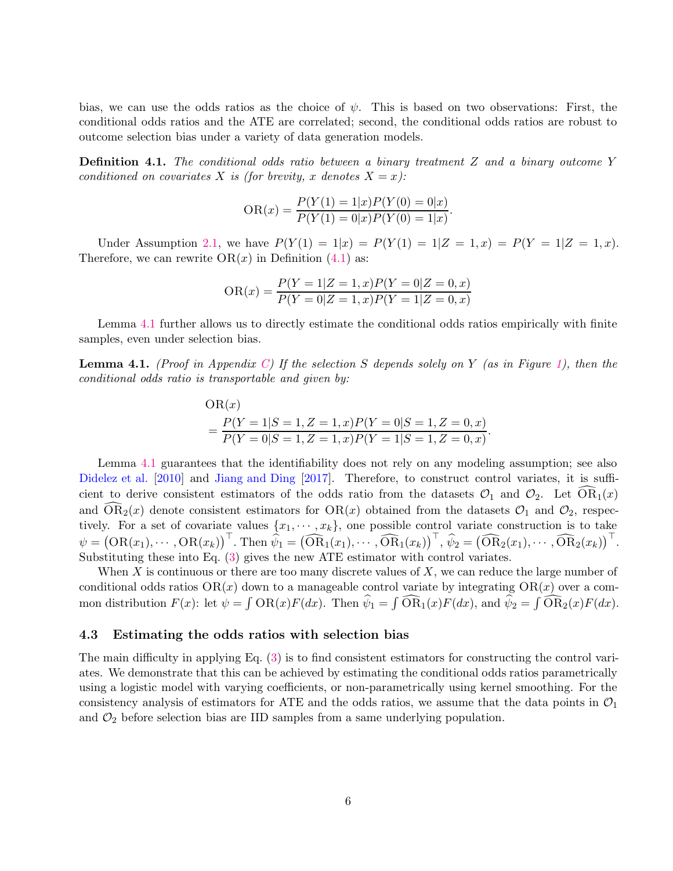<span id="page-5-2"></span>bias, we can use the odds ratios as the choice of  $\psi$ . This is based on two observations: First, the conditional odds ratios and the ATE are correlated; second, the conditional odds ratios are robust to outcome selection bias under a variety of data generation models.

<span id="page-5-0"></span>**Definition 4.1.** The conditional odds ratio between a binary treatment Z and a binary outcome Y conditioned on covariates X is (for brevity, x denotes  $X = x$ ):

$$
OR(x) = \frac{P(Y(1) = 1|x)P(Y(0) = 0|x)}{P(Y(1) = 0|x)P(Y(0) = 1|x)}.
$$

Under Assumption [2.1,](#page-3-0) we have  $P(Y(1) = 1|x) = P(Y(1) = 1|Z = 1, x) = P(Y = 1|Z = 1, x)$ . Therefore, we can rewrite  $OR(x)$  in Definition  $(4.1)$  as:

$$
OR(x) = \frac{P(Y=1|Z=1,x)P(Y=0|Z=0,x)}{P(Y=0|Z=1,x)P(Y=1|Z=0,x)}
$$

Lemma [4.1](#page-5-1) further allows us to directly estimate the conditional odds ratios empirically with finite samples, even under selection bias.

<span id="page-5-1"></span>**Lemma 4.1.** (Proof in Appendix [C\)](#page-22-0) If the selection S depends solely on Y (as in Figure [1\)](#page-4-0), then the conditional odds ratio is transportable and given by:

OR(x)  
= 
$$
\frac{P(Y = 1|S = 1, Z = 1, x)P(Y = 0|S = 1, Z = 0, x)}{P(Y = 0|S = 1, Z = 1, x)P(Y = 1|S = 1, Z = 0, x)}.
$$

Lemma [4.1](#page-5-1) guarantees that the identifiability does not rely on any modeling assumption; see also [Didelez et al.](#page-13-9) [\[2010\]](#page-13-9) and [Jiang and Ding](#page-14-15) [\[2017](#page-14-15)]. Therefore, to construct control variates, it is sufficient to derive consistent estimators of the odds ratio from the datasets  $\mathcal{O}_1$  and  $\mathcal{O}_2$ . Let  $OR_1(x)$ and  $\widehat{\text{OR}}_2(x)$  denote consistent estimators for  $\text{OR}(x)$  obtained from the datasets  $\mathcal{O}_1$  and  $\mathcal{O}_2$ , respectively. For a set of covariate values  $\{x_1, \dots, x_k\}$ , one possible control variate construction is to take  $\psi = (\text{OR}(x_1), \cdots, \text{OR}(x_k))^{\top}$ . Then  $\widehat{\psi}_1 = (\widehat{\text{OR}}_1(x_1), \cdots, \widehat{\text{OR}}_1(x_k))^{\top}$ ,  $\widehat{\psi}_2 = (\widehat{\text{OR}}_2(x_1), \cdots, \widehat{\text{OR}}_2(x_k))^{\top}$ . Substituting these into Eq. [\(3\)](#page-3-2) gives the new ATE estimator with control variates.

When X is continuous or there are too many discrete values of  $X$ , we can reduce the large number of conditional odds ratios  $OR(x)$  down to a manageable control variate by integrating  $OR(x)$  over a common distribution  $F(x)$ : let  $\psi = \int \text{OR}(x)F(dx)$ . Then  $\widehat{\psi}_1 = \int \widehat{\text{OR}}_1(x)F(dx)$ , and  $\widehat{\psi}_2 = \int \widehat{\text{OR}}_2(x)F(dx)$ .

#### 4.3 Estimating the odds ratios with selection bias

The main difficulty in applying Eq. [\(3\)](#page-3-2) is to find consistent estimators for constructing the control variates. We demonstrate that this can be achieved by estimating the conditional odds ratios parametrically using a logistic model with varying coefficients, or non-parametrically using kernel smoothing. For the consistency analysis of estimators for ATE and the odds ratios, we assume that the data points in  $\mathcal{O}_1$ and  $\mathcal{O}_2$  before selection bias are IID samples from a same underlying population.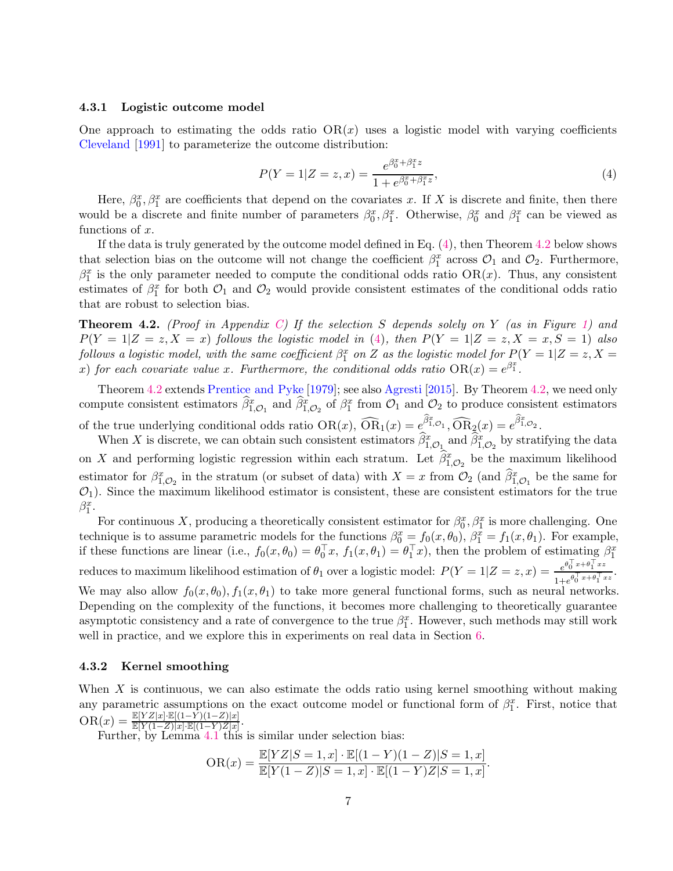#### <span id="page-6-4"></span><span id="page-6-2"></span>4.3.1 Logistic outcome model

One approach to estimating the odds ratio  $OR(x)$  uses a logistic model with varying coefficients [Cleveland](#page-13-10) [\[1991](#page-13-10)] to parameterize the outcome distribution:

<span id="page-6-0"></span>
$$
P(Y=1|Z=z,x) = \frac{e^{\beta_0^x + \beta_1^x z}}{1 + e^{\beta_0^x + \beta_1^x z}},
$$
\n(4)

Here,  $\beta_0^x$ ,  $\beta_1^x$  are coefficients that depend on the covariates x. If X is discrete and finite, then there would be a discrete and finite number of parameters  $\beta_0^x$ ,  $\beta_1^x$ . Otherwise,  $\beta_0^x$  and  $\beta_1^x$  can be viewed as functions of  $x$ .

If the data is truly generated by the outcome model defined in Eq. [\(4\)](#page-6-0), then Theorem [4.2](#page-6-1) below shows that selection bias on the outcome will not change the coefficient  $\beta_1^x$  across  $\mathcal{O}_1$  and  $\mathcal{O}_2$ . Furthermore,  $\beta_1^x$  is the only parameter needed to compute the conditional odds ratio OR(x). Thus, any consistent estimates of  $\beta_1^x$  for both  $\mathcal{O}_1$  and  $\mathcal{O}_2$  would provide consistent estimates of the conditional odds ratio that are robust to selection bias.

<span id="page-6-1"></span>**Theorem 4.2.** (Proof in Appendix [C\)](#page-22-0) If the selection S depends solely on Y (as in Figure [1\)](#page-4-0) and  $P(Y = 1|Z = z, X = x)$  follows the logistic model in [\(4\)](#page-6-0), then  $P(Y = 1|Z = z, X = x, S = 1)$  also follows a logistic model, with the same coefficient  $\beta_1^x$  on Z as the logistic model for  $P(Y = 1 | Z = z, X = z)$ x) for each covariate value x. Furthermore, the conditional odds ratio  $OR(x) = e^{\beta_1^x}$ .

Theorem [4.2](#page-6-1) extends [Prentice and Pyke](#page-14-16) [\[1979](#page-14-16)]; see also [Agresti](#page-12-1) [\[2015](#page-12-1)]. By Theorem [4.2,](#page-6-1) we need only compute consistent estimators  $\widehat{\beta}_{1,\mathcal{O}_1}^x$  and  $\widehat{\beta}_{1,\mathcal{O}_2}^x$  of  $\beta_1^x$  from  $\mathcal{O}_1$  and  $\mathcal{O}_2$  to produce consistent estimators of the true underlying conditional odds ratio  $OR(x)$ ,  $\widehat{OR}_1(x) = e^{\widehat{\beta}_1^x \phi_1}$ ,  $\widehat{OR}_2(x) = e^{\widehat{\beta}_1^x \phi_2}$ .

When X is discrete, we can obtain such consistent estimators  $\hat{\beta}_{1,\mathcal{O}_1}^x$  and  $\hat{\beta}_{1,\mathcal{O}_2}^x$  by stratifying the data on X and performing logistic regression within each stratum. Let  $\widehat{\beta}_{1,\mathcal{O}_2}^x$  be the maximum likelihood estimator for  $\beta_{1,\mathcal{O}_2}^x$  in the stratum (or subset of data) with  $X = x$  from  $\mathcal{O}_2$  (and  $\widehat{\beta}_{1,\mathcal{O}_1}^x$  be the same for  $\mathcal{O}_1$ ). Since the maximum likelihood estimator is consistent, these are consistent estimators for the true  $\beta_1^x$ .

For continuous X, producing a theoretically consistent estimator for  $\beta_0^x$ ,  $\beta_1^x$  is more challenging. One technique is to assume parametric models for the functions  $\beta_0^x = f_0(x, \theta_0)$ ,  $\beta_1^x = f_1(x, \theta_1)$ . For example, if these functions are linear (i.e.,  $f_0(x, \theta_0) = \theta_0^{\top} x$ ,  $f_1(x, \theta_1) = \theta_1^{\top} x$ ), then the problem of estimating  $\beta_1^x$ reduces to maximum likelihood estimation of  $\theta_1$  over a logistic model:  $P(Y = 1|Z = z, x) = \frac{e^{\theta_0^T x + \theta_1^T x z}}{1 + e^{\theta_0^T x + \theta_1^T y}}$  $\frac{e^{0} \theta^{0} + e^{0}}{1 + e^{0} \theta^{0} + e^{0}}.$ We may also allow  $f_0(x, \theta_0), f_1(x, \theta_1)$  to take more general functional forms, such as neural networks. Depending on the complexity of the functions, it becomes more challenging to theoretically guarantee asymptotic consistency and a rate of convergence to the true  $\beta_1^x$ . However, such methods may still work well in practice, and we explore this in experiments on real data in Section [6.](#page-9-0)

#### <span id="page-6-3"></span>4.3.2 Kernel smoothing

When  $X$  is continuous, we can also estimate the odds ratio using kernel smoothing without making any parametric assumptions on the exact outcome model or functional form of  $\beta_1^x$ . First, notice that  $\overline{\text{OR}(x)} = \frac{\mathbb{E}[YZ|x] \cdot \mathbb{E}[(1-\hat{Y})(1-Z)|x]}{\mathbb{E}[Y(1-Z)|x] \cdot \mathbb{E}[(1-Y)Z|x]}.$ 

Further, by Lemma [4.1](#page-5-1) this is similar under selection bias:

$$
OR(x) = \frac{\mathbb{E}[YZ|S=1, x] \cdot \mathbb{E}[(1-Y)(1-Z)|S=1, x]}{\mathbb{E}[Y(1-Z)|S=1, x] \cdot \mathbb{E}[(1-Y)Z|S=1, x]}.
$$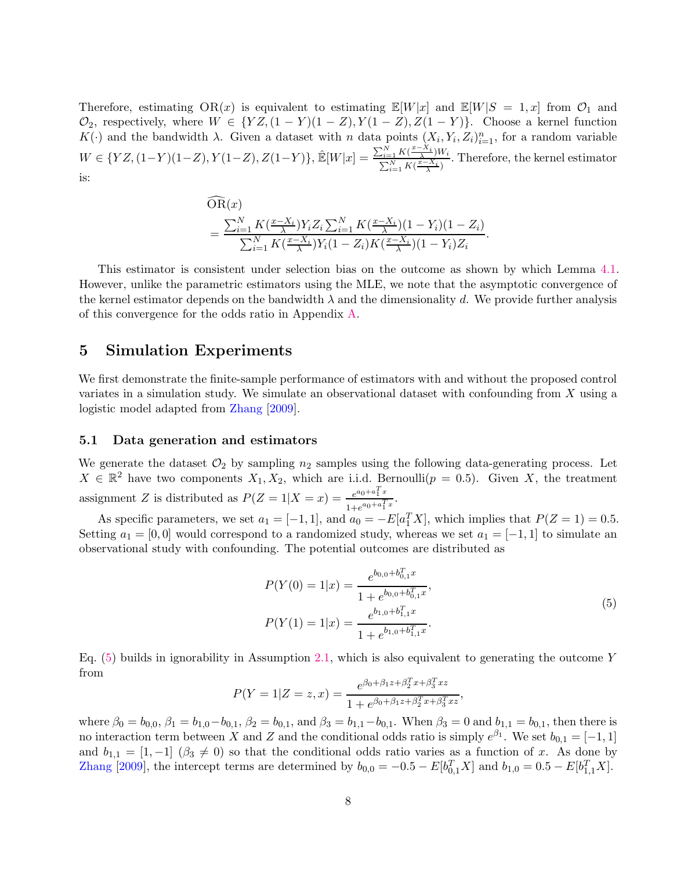<span id="page-7-1"></span>Therefore, estimating OR(x) is equivalent to estimating  $\mathbb{E}[W|x]$  and  $\mathbb{E}[W|S = 1, x]$  from  $\mathcal{O}_1$  and  $\mathcal{O}_2$ , respectively, where  $W \in \{YZ, (1-Y)(1-Z), Y(1-Z), Z(1-Y)\}.$  Choose a kernel function  $K(\cdot)$  and the bandwidth  $\lambda$ . Given a dataset with n data points  $(X_i, Y_i, Z_i)_{i=1}^n$ , for a random variable  $W \in \{YZ, (1-Y)(1-Z), Y(1-Z), Z(1-Y)\}, \, \hat{\mathbb{E}}[W|x] = \frac{\sum_{i=1}^{N} K(\frac{x-X_i}{\lambda})W_i}{\sum_{i=1}^{N} K(\frac{x-X_i}{\lambda})}$  $\frac{\sum_{i=1}^{i=1} K(\frac{x-X_i}{\lambda})^{W_i}}{\sum_{i=1}^{N} K(\frac{x-X_i}{\lambda})}$ . Therefore, the kernel estimator is:

$$
\overline{OR}(x) = \frac{\sum_{i=1}^{N} K(\frac{x-X_i}{\lambda}) Y_i Z_i \sum_{i=1}^{N} K(\frac{x-X_i}{\lambda})(1-Y_i)(1-Z_i)}{\sum_{i=1}^{N} K(\frac{x-X_i}{\lambda}) Y_i (1-Z_i) K(\frac{x-X_i}{\lambda})(1-Y_i) Z_i}.
$$

This estimator is consistent under selection bias on the outcome as shown by which Lemma [4.1.](#page-5-1) However, unlike the parametric estimators using the MLE, we note that the asymptotic convergence of the kernel estimator depends on the bandwidth  $\lambda$  and the dimensionality d. We provide further analysis of this convergence for the odds ratio in Appendix [A.](#page-17-0)

### <span id="page-7-2"></span>5 Simulation Experiments

We first demonstrate the finite-sample performance of estimators with and without the proposed control variates in a simulation study. We simulate an observational dataset with confounding from X using a logistic model adapted from [Zhang](#page-16-2) [\[2009](#page-16-2)].

### <span id="page-7-3"></span>5.1 Data generation and estimators

We generate the dataset  $\mathcal{O}_2$  by sampling  $n_2$  samples using the following data-generating process. Let  $X \in \mathbb{R}^2$  have two components  $X_1, X_2$ , which are i.i.d. Bernoulli $(p = 0.5)$ . Given X, the treatment assignment Z is distributed as  $P(Z=1|X=x) = \frac{e^{a_0+a_1^T x}}{1+e^{a_0+a_1^T x}}$  $\frac{e^{a_0 + a_1 x}}{1 + e^{a_0 + a_1^T x}}$ .

As specific parameters, we set  $a_1 = [-1, 1]$ , and  $a_0 = -E[a_1^T X]$ , which implies that  $P(Z = 1) = 0.5$ . Setting  $a_1 = [0, 0]$  would correspond to a randomized study, whereas we set  $a_1 = [-1, 1]$  to simulate an observational study with confounding. The potential outcomes are distributed as

<span id="page-7-0"></span>
$$
P(Y(0) = 1|x) = \frac{e^{b_{0,0} + b_{0,1}^T x}}{1 + e^{b_{0,0} + b_{0,1}^T x}},
$$
  
\n
$$
P(Y(1) = 1|x) = \frac{e^{b_{1,0} + b_{1,1}^T x}}{1 + e^{b_{1,0} + b_{1,1}^T x}}.
$$
\n(5)

Eq.  $(5)$  builds in ignorability in Assumption [2.1,](#page-3-0) which is also equivalent to generating the outcome Y from

$$
P(Y = 1|Z = z, x) = \frac{e^{\beta_0 + \beta_1 z + \beta_2^T x + \beta_3^T xz}}{1 + e^{\beta_0 + \beta_1 z + \beta_2^T x + \beta_3^T xz}},
$$

where  $\beta_0 = b_{0,0}, \beta_1 = b_{1,0} - b_{0,1}, \beta_2 = b_{0,1}$ , and  $\beta_3 = b_{1,1} - b_{0,1}$ . When  $\beta_3 = 0$  and  $b_{1,1} = b_{0,1}$ , then there is no interaction term between X and Z and the conditional odds ratio is simply  $e^{\beta_1}$ . We set  $b_{0,1} = [-1,1]$ and  $b_{1,1} = [1, -1]$   $(\beta_3 \neq 0)$  so that the conditional odds ratio varies as a function of x. As done by [Zhang](#page-16-2) [\[2009](#page-16-2)], the intercept terms are determined by  $b_{0,0} = -0.5 - E[b_{0,1}^T X]$  and  $b_{1,0} = 0.5 - E[b_{1,1}^T X]$ .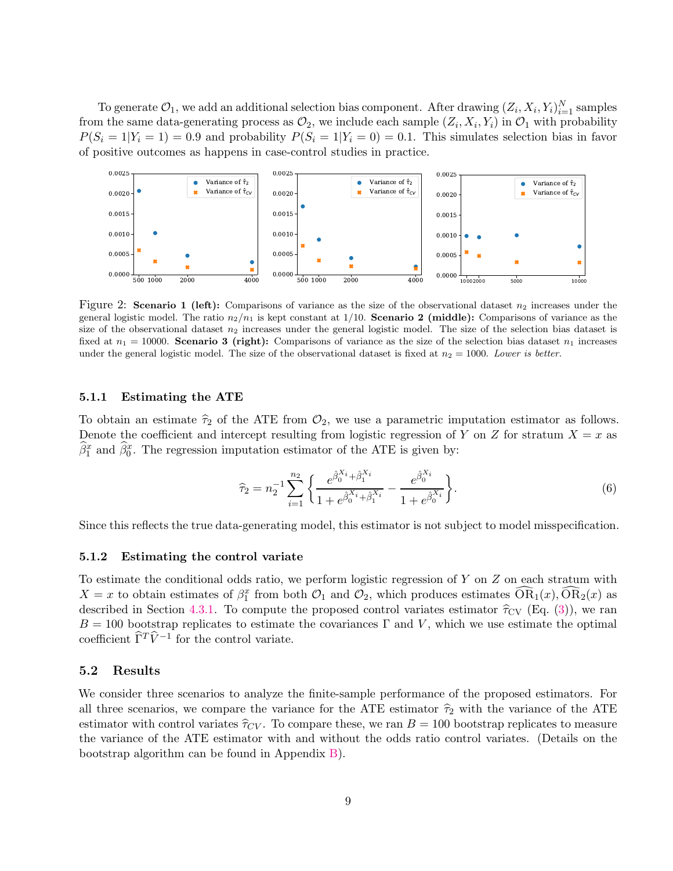To generate  $\mathcal{O}_1$ , we add an additional selection bias component. After drawing  $(Z_i, X_i, Y_i)_{i=1}^N$  samples from the same data-generating process as  $\mathcal{O}_2$ , we include each sample  $(Z_i, X_i, Y_i)$  in  $\mathcal{O}_1$  with probability  $P(S_i = 1|Y_i = 1) = 0.9$  and probability  $P(S_i = 1|Y_i = 0) = 0.1$ . This simulates selection bias in favor of positive outcomes as happens in case-control studies in practice.



<span id="page-8-0"></span>Figure 2: Scenario 1 (left): Comparisons of variance as the size of the observational dataset  $n_2$  increases under the general logistic model. The ratio  $n_2/n_1$  is kept constant at 1/10. **Scenario 2 (middle):** Comparisons of variance as the size of the observational dataset  $n_2$  increases under the general logistic model. The size of the selection bias dataset is fixed at  $n_1 = 10000$ . Scenario 3 (right): Comparisons of variance as the size of the selection bias dataset  $n_1$  increases under the general logistic model. The size of the observational dataset is fixed at  $n_2 = 1000$ . Lower is better.

#### 5.1.1 Estimating the ATE

To obtain an estimate  $\hat{\tau}_2$  of the ATE from  $\mathcal{O}_2$ , we use a parametric imputation estimator as follows. Denote the coefficient and intercept resulting from logistic regression of Y on Z for stratum  $X = x$  as  $\hat{\beta}_1^x$  and  $\hat{\beta}_0^x$ . The regression imputation estimator of the ATE is given by:

$$
\widehat{\tau}_2 = n_2^{-1} \sum_{i=1}^{n_2} \left\{ \frac{e^{\widehat{\beta}_0^{X_i}} + \widehat{\beta}_1^{X_i}}{1 + e^{\widehat{\beta}_0^{X_i}} + \widehat{\beta}_1^{X_i}} - \frac{e^{\widehat{\beta}_0^{X_i}}}{1 + e^{\widehat{\beta}_0^{X_i}}} \right\}.
$$
(6)

Since this reflects the true data-generating model, this estimator is not subject to model misspecification.

#### 5.1.2 Estimating the control variate

To estimate the conditional odds ratio, we perform logistic regression of Y on Z on each stratum with  $X = x$  to obtain estimates of  $\beta_1^x$  from both  $\mathcal{O}_1$  and  $\mathcal{O}_2$ , which produces estimates  $\widehat{OR}_1(x)$ ,  $\widehat{OR}_2(x)$  as described in Section [4.3.1.](#page-6-2) To compute the proposed control variates estimator  $\hat{\tau}_{CV}$  (Eq. [\(3\)](#page-3-2)), we ran  $B = 100$  bootstrap replicates to estimate the covariances  $\Gamma$  and V, which we use estimate the optimal coefficient  $\widehat{\Gamma}^T \widehat{V}^{-1}$  for the control variate.

### 5.2 Results

We consider three scenarios to analyze the finite-sample performance of the proposed estimators. For all three scenarios, we compare the variance for the ATE estimator  $\hat{\tau}_2$  with the variance of the ATE estimator with control variates  $\hat{\tau}_{CV}$ . To compare these, we ran  $B = 100$  bootstrap replicates to measure the variance of the ATE estimator with and without the odds ratio control variates. (Details on the bootstrap algorithm can be found in Appendix [B\)](#page-21-0).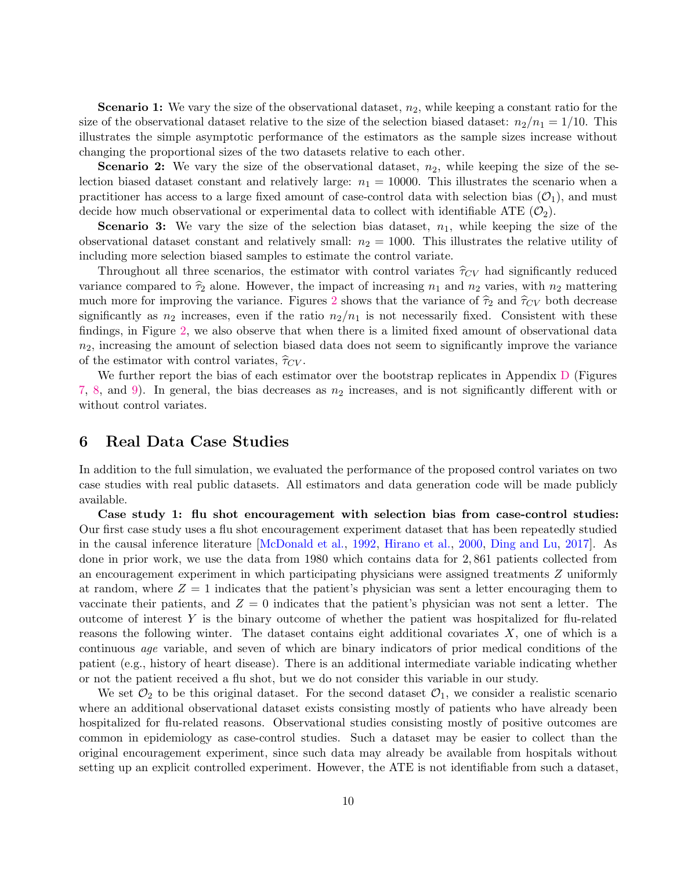<span id="page-9-1"></span>**Scenario 1:** We vary the size of the observational dataset,  $n_2$ , while keeping a constant ratio for the size of the observational dataset relative to the size of the selection biased dataset:  $n_2/n_1 = 1/10$ . This illustrates the simple asymptotic performance of the estimators as the sample sizes increase without changing the proportional sizes of the two datasets relative to each other.

**Scenario 2:** We vary the size of the observational dataset,  $n_2$ , while keeping the size of the selection biased dataset constant and relatively large:  $n_1 = 10000$ . This illustrates the scenario when a practitioner has access to a large fixed amount of case-control data with selection bias  $(\mathcal{O}_1)$ , and must decide how much observational or experimental data to collect with identifiable ATE  $(\mathcal{O}_2)$ .

**Scenario 3:** We vary the size of the selection bias dataset,  $n_1$ , while keeping the size of the observational dataset constant and relatively small:  $n_2 = 1000$ . This illustrates the relative utility of including more selection biased samples to estimate the control variate.

Throughout all three scenarios, the estimator with control variates  $\hat{\tau}_{CV}$  had significantly reduced variance compared to  $\hat{\tau}_2$  alone. However, the impact of increasing  $n_1$  and  $n_2$  varies, with  $n_2$  mattering much more for improving the variance. Figures [2](#page-8-0) shows that the variance of  $\hat{\tau}_2$  and  $\hat{\tau}_{CV}$  both decrease significantly as  $n_2$  increases, even if the ratio  $n_2/n_1$  is not necessarily fixed. Consistent with these findings, in Figure [2,](#page-8-0) we also observe that when there is a limited fixed amount of observational data  $n_2$ , increasing the amount of selection biased data does not seem to significantly improve the variance of the estimator with control variates,  $\hat{\tau}_{CV}$ .

We further report the bias of each estimator over the bootstrap replicates in Appendix [D](#page-25-0) (Figures [7,](#page-28-0) [8,](#page-28-1) and [9\)](#page-29-0). In general, the bias decreases as  $n_2$  increases, and is not significantly different with or without control variates.

# <span id="page-9-0"></span>6 Real Data Case Studies

In addition to the full simulation, we evaluated the performance of the proposed control variates on two case studies with real public datasets. All estimators and data generation code will be made publicly available.

Case study 1: flu shot encouragement with selection bias from case-control studies: Our first case study uses a flu shot encouragement experiment dataset that has been repeatedly studied in the causal inference literature [\[McDonald et al.](#page-14-17), [1992](#page-14-17), [Hirano et al.](#page-13-11), [2000](#page-13-11), [Ding and Lu](#page-13-12), [2017](#page-13-12)]. As done in prior work, we use the data from 1980 which contains data for 2, 861 patients collected from an encouragement experiment in which participating physicians were assigned treatments Z uniformly at random, where  $Z = 1$  indicates that the patient's physician was sent a letter encouraging them to vaccinate their patients, and  $Z = 0$  indicates that the patient's physician was not sent a letter. The outcome of interest Y is the binary outcome of whether the patient was hospitalized for flu-related reasons the following winter. The dataset contains eight additional covariates  $X$ , one of which is a continuous age variable, and seven of which are binary indicators of prior medical conditions of the patient (e.g., history of heart disease). There is an additional intermediate variable indicating whether or not the patient received a flu shot, but we do not consider this variable in our study.

We set  $\mathcal{O}_2$  to be this original dataset. For the second dataset  $\mathcal{O}_1$ , we consider a realistic scenario where an additional observational dataset exists consisting mostly of patients who have already been hospitalized for flu-related reasons. Observational studies consisting mostly of positive outcomes are common in epidemiology as case-control studies. Such a dataset may be easier to collect than the original encouragement experiment, since such data may already be available from hospitals without setting up an explicit controlled experiment. However, the ATE is not identifiable from such a dataset,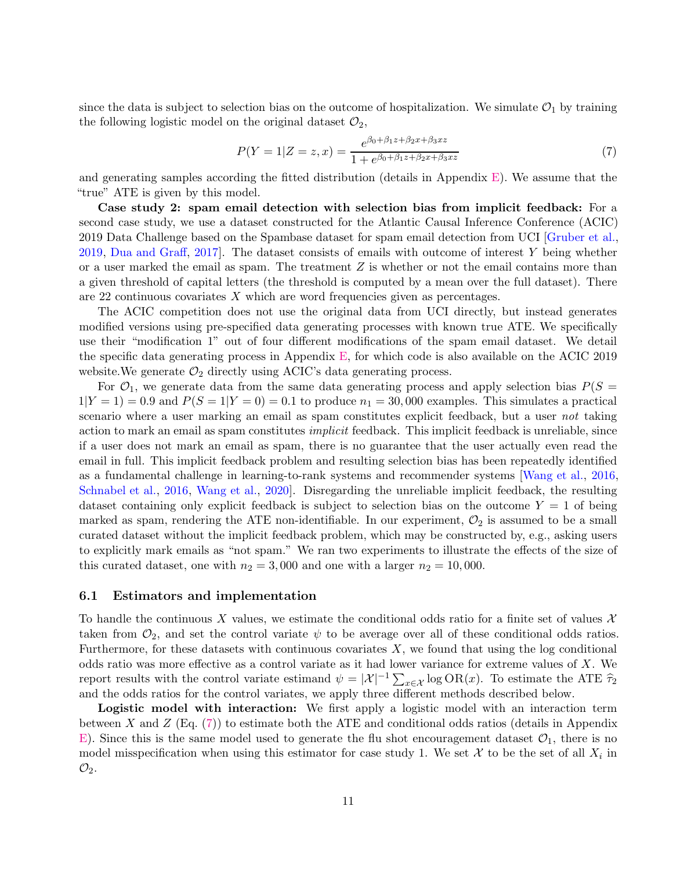<span id="page-10-1"></span>since the data is subject to selection bias on the outcome of hospitalization. We simulate  $\mathcal{O}_1$  by training the following logistic model on the original dataset  $\mathcal{O}_2$ ,

<span id="page-10-0"></span>
$$
P(Y=1|Z=z,x) = \frac{e^{\beta_0 + \beta_1 z + \beta_2 x + \beta_3 x z}}{1 + e^{\beta_0 + \beta_1 z + \beta_2 x + \beta_3 x z}}
$$
(7)

and generating samples according the fitted distribution (details in Appendix [E\)](#page-27-0). We assume that the "true" ATE is given by this model.

Case study 2: spam email detection with selection bias from implicit feedback: For a second case study, we use a dataset constructed for the Atlantic Causal Inference Conference (ACIC) 2019 Data Challenge based on the Spambase dataset for spam email detection from UCI [\[Gruber et al.](#page-13-13), [2019](#page-13-13), [Dua and Graff,](#page-13-14) [2017\]](#page-13-14). The dataset consists of emails with outcome of interest Y being whether or a user marked the email as spam. The treatment  $Z$  is whether or not the email contains more than a given threshold of capital letters (the threshold is computed by a mean over the full dataset). There are 22 continuous covariates X which are word frequencies given as percentages.

The ACIC competition does not use the original data from UCI directly, but instead generates modified versions using pre-specified data generating processes with known true ATE. We specifically use their "modification 1" out of four different modifications of the spam email dataset. We detail the specific data generating process in Appendix [E,](#page-27-0) for which code is also available on the ACIC 2019 website. We generate  $\mathcal{O}_2$  directly using ACIC's data generating process.

For  $\mathcal{O}_1$ , we generate data from the same data generating process and apply selection bias  $P(S =$  $1|Y=1| = 0.9$  and  $P(S=1|Y=0) = 0.1$  to produce  $n_1 = 30,000$  examples. This simulates a practical scenario where a user marking an email as spam constitutes explicit feedback, but a user not taking action to mark an email as spam constitutes implicit feedback. This implicit feedback is unreliable, since if a user does not mark an email as spam, there is no guarantee that the user actually even read the email in full. This implicit feedback problem and resulting selection bias has been repeatedly identified as a fundamental challenge in learning-to-rank systems and recommender systems [\[Wang et al.](#page-15-4), [2016](#page-15-4), [Schnabel et al.](#page-15-5), [2016](#page-15-5), [Wang et al.](#page-15-6), [2020](#page-15-6)]. Disregarding the unreliable implicit feedback, the resulting dataset containing only explicit feedback is subject to selection bias on the outcome  $Y = 1$  of being marked as spam, rendering the ATE non-identifiable. In our experiment,  $\mathcal{O}_2$  is assumed to be a small curated dataset without the implicit feedback problem, which may be constructed by, e.g., asking users to explicitly mark emails as "not spam." We ran two experiments to illustrate the effects of the size of this curated dataset, one with  $n_2 = 3,000$  and one with a larger  $n_2 = 10,000$ .

### 6.1 Estimators and implementation

To handle the continuous X values, we estimate the conditional odds ratio for a finite set of values  $\mathcal X$ taken from  $\mathcal{O}_2$ , and set the control variate  $\psi$  to be average over all of these conditional odds ratios. Furthermore, for these datasets with continuous covariates  $X$ , we found that using the log conditional odds ratio was more effective as a control variate as it had lower variance for extreme values of X. We report results with the control variate estimand  $\psi = |\mathcal{X}|^{-1} \sum_{x \in \mathcal{X}} \log \text{OR}(x)$ . To estimate the ATE  $\hat{\tau}_2$ and the odds ratios for the control variates, we apply three different methods described below.

Logistic model with interaction: We first apply a logistic model with an interaction term between X and  $Z$  (Eq. [\(7\)](#page-10-0)) to estimate both the ATE and conditional odds ratios (details in Appendix [E\)](#page-27-0). Since this is the same model used to generate the flu shot encouragement dataset  $\mathcal{O}_1$ , there is no model misspecification when using this estimator for case study 1. We set  $\mathcal{X}$  to be the set of all  $X_i$  in  $\mathcal{O}_2$ .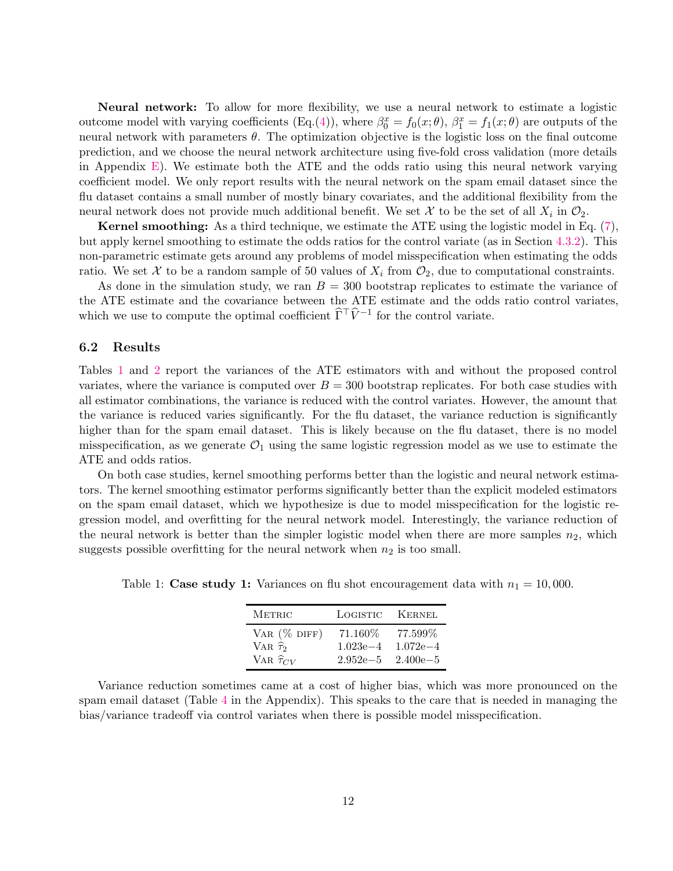Neural network: To allow for more flexibility, we use a neural network to estimate a logistic outcome model with varying coefficients (Eq.[\(4\)](#page-6-0)), where  $\beta_0^x = f_0(x; \theta)$ ,  $\beta_1^x = f_1(x; \theta)$  are outputs of the neural network with parameters  $\theta$ . The optimization objective is the logistic loss on the final outcome prediction, and we choose the neural network architecture using five-fold cross validation (more details in Appendix [E\)](#page-27-0). We estimate both the ATE and the odds ratio using this neural network varying coefficient model. We only report results with the neural network on the spam email dataset since the flu dataset contains a small number of mostly binary covariates, and the additional flexibility from the neural network does not provide much additional benefit. We set  $\mathcal X$  to be the set of all  $X_i$  in  $\mathcal O_2$ .

Kernel smoothing: As a third technique, we estimate the ATE using the logistic model in Eq. [\(7\)](#page-10-0), but apply kernel smoothing to estimate the odds ratios for the control variate (as in Section [4.3.2\)](#page-6-3). This non-parametric estimate gets around any problems of model misspecification when estimating the odds ratio. We set X to be a random sample of 50 values of  $X_i$  from  $\mathcal{O}_2$ , due to computational constraints.

As done in the simulation study, we ran  $B = 300$  bootstrap replicates to estimate the variance of the ATE estimate and the covariance between the ATE estimate and the odds ratio control variates, which we use to compute the optimal coefficient  $\hat{\Gamma}^{\top}\hat{V}^{-1}$  for the control variate.

### 6.2 Results

Tables [1](#page-11-0) and [2](#page-12-2) report the variances of the ATE estimators with and without the proposed control variates, where the variance is computed over  $B = 300$  bootstrap replicates. For both case studies with all estimator combinations, the variance is reduced with the control variates. However, the amount that the variance is reduced varies significantly. For the flu dataset, the variance reduction is significantly higher than for the spam email dataset. This is likely because on the flu dataset, there is no model misspecification, as we generate  $\mathcal{O}_1$  using the same logistic regression model as we use to estimate the ATE and odds ratios.

On both case studies, kernel smoothing performs better than the logistic and neural network estimators. The kernel smoothing estimator performs significantly better than the explicit modeled estimators on the spam email dataset, which we hypothesize is due to model misspecification for the logistic regression model, and overfitting for the neural network model. Interestingly, the variance reduction of the neural network is better than the simpler logistic model when there are more samples  $n_2$ , which suggests possible overfitting for the neural network when  $n_2$  is too small.

| <b>METRIC</b>         | LOGISTIC     | KERNEL       |
|-----------------------|--------------|--------------|
| VAR $(\%$ DIFF)       | 71.160\%     | 77.599%      |
| VAR $\hat{\tau}_2$    | $1.023e - 4$ | $1.072e - 4$ |
| VAR $\hat{\tau}_{CV}$ | $2.952e - 5$ | $2.400e - 5$ |

<span id="page-11-0"></span>Table 1: Case study 1: Variances on flu shot encouragement data with  $n_1 = 10,000$ .

Variance reduction sometimes came at a cost of higher bias, which was more pronounced on the spam email dataset (Table [4](#page-31-0) in the Appendix). This speaks to the care that is needed in managing the bias/variance tradeoff via control variates when there is possible model misspecification.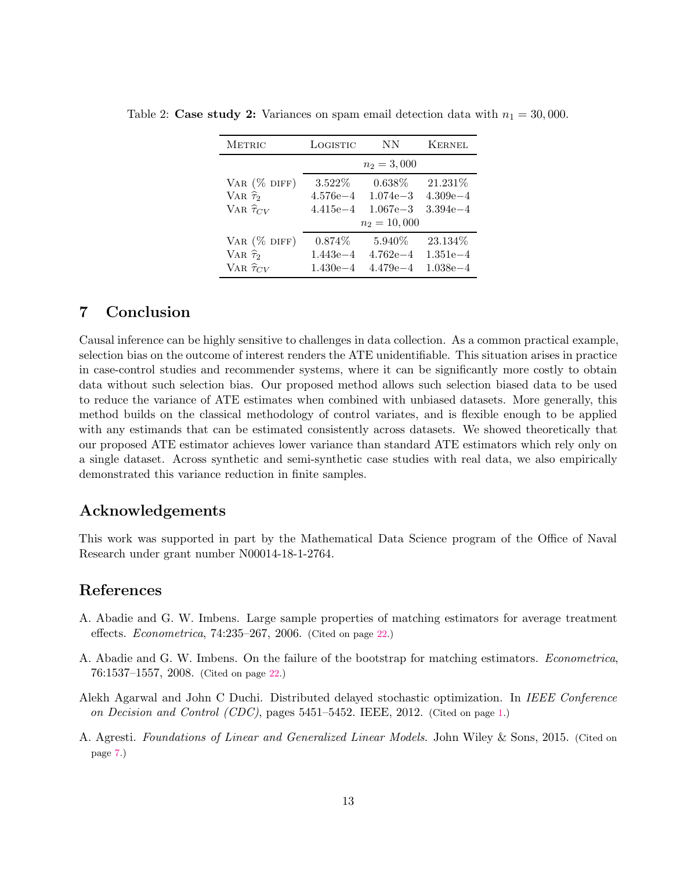<span id="page-12-2"></span>

| <b>METRIC</b>          | LOGISTIC       | ΝN           | <b>KERNEL</b> |
|------------------------|----------------|--------------|---------------|
|                        | $n_2 = 3,000$  |              |               |
| VAR $(\%$ DIFF)        | $3.522\%$      | $0.638\%$    | 21.231%       |
| VAR $\widehat{\tau}_2$ | $4.576e - 4$   | $1.074e - 3$ | $4.309e - 4$  |
| VAR $\hat{\tau}_{CV}$  | $4.415e - 4$   | $1.067e - 3$ | $3.394e - 4$  |
|                        | $n_2 = 10,000$ |              |               |
| VAR $(\%$ DIFF)        | $0.874\%$      | 5.940\%      | 23.134\%      |
| VAR $\hat{\tau}_2$     | $1.443e - 4$   | $4.762e - 4$ | $1.351e - 4$  |
| VAR $\hat{\tau}_{CV}$  | $1.430e - 4$   | $4.479e - 4$ | $1.038e - 4$  |

Table 2: Case study 2: Variances on spam email detection data with  $n_1 = 30,000$ .

# 7 Conclusion

Causal inference can be highly sensitive to challenges in data collection. As a common practical example, selection bias on the outcome of interest renders the ATE unidentifiable. This situation arises in practice in case-control studies and recommender systems, where it can be significantly more costly to obtain data without such selection bias. Our proposed method allows such selection biased data to be used to reduce the variance of ATE estimates when combined with unbiased datasets. More generally, this method builds on the classical methodology of control variates, and is flexible enough to be applied with any estimands that can be estimated consistently across datasets. We showed theoretically that our proposed ATE estimator achieves lower variance than standard ATE estimators which rely only on a single dataset. Across synthetic and semi-synthetic case studies with real data, we also empirically demonstrated this variance reduction in finite samples.

# Acknowledgements

This work was supported in part by the Mathematical Data Science program of the Office of Naval Research under grant number N00014-18-1-2764.

# References

- <span id="page-12-4"></span>A. Abadie and G. W. Imbens. Large sample properties of matching estimators for average treatment effects. Econometrica, 74:235–267, 2006. (Cited on page [22.](#page-21-1))
- <span id="page-12-3"></span>A. Abadie and G. W. Imbens. On the failure of the bootstrap for matching estimators. Econometrica, 76:1537–1557, 2008. (Cited on page [22.](#page-21-1))
- <span id="page-12-0"></span>Alekh Agarwal and John C Duchi. Distributed delayed stochastic optimization. In IEEE Conference on Decision and Control (CDC), pages 5451–5452. IEEE, 2012. (Cited on page [1.](#page-0-0))
- <span id="page-12-1"></span>A. Agresti. Foundations of Linear and Generalized Linear Models. John Wiley & Sons, 2015. (Cited on page [7.](#page-6-4))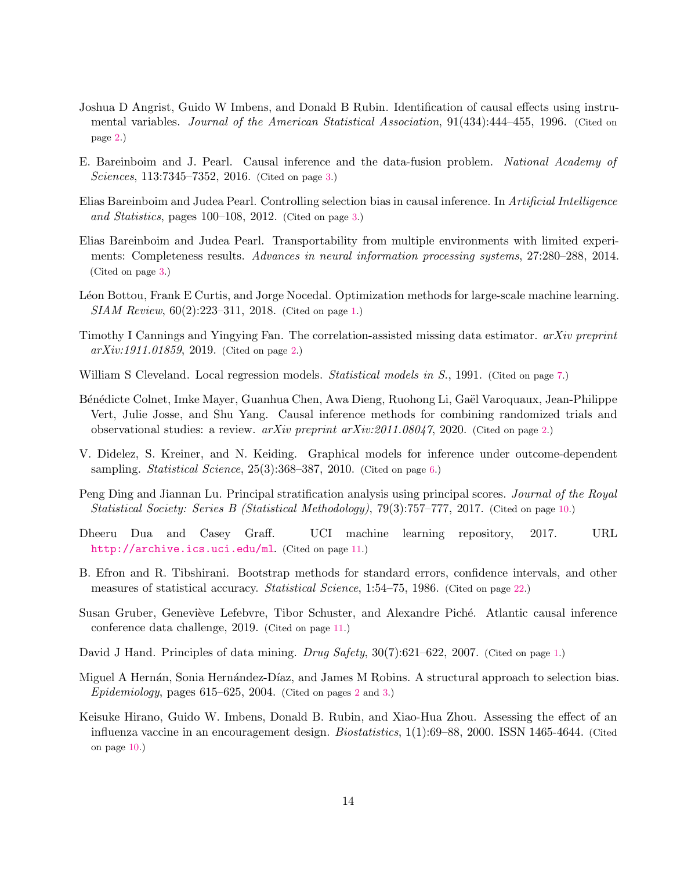- <span id="page-13-2"></span>Joshua D Angrist, Guido W Imbens, and Donald B Rubin. Identification of causal effects using instrumental variables. Journal of the American Statistical Association, 91(434):444–455, 1996. (Cited on page [2.](#page-1-0))
- <span id="page-13-8"></span>E. Bareinboim and J. Pearl. Causal inference and the data-fusion problem. National Academy of Sciences, 113:7345–7352, 2016. (Cited on page [3.](#page-2-1))
- <span id="page-13-6"></span>Elias Bareinboim and Judea Pearl. Controlling selection bias in causal inference. In Artificial Intelligence and Statistics, pages 100–108, 2012. (Cited on page [3.](#page-2-1))
- <span id="page-13-7"></span>Elias Bareinboim and Judea Pearl. Transportability from multiple environments with limited experiments: Completeness results. Advances in neural information processing systems, 27:280–288, 2014. (Cited on page [3.](#page-2-1))
- <span id="page-13-1"></span>Léon Bottou, Frank E Curtis, and Jorge Nocedal. Optimization methods for large-scale machine learning. SIAM Review, 60(2):223–311, 2018. (Cited on page [1.](#page-0-0))
- <span id="page-13-5"></span>Timothy I Cannings and Yingying Fan. The correlation-assisted missing data estimator.  $arXiv$  preprint  $arXiv:1911.01859, 2019.$  (Cited on page [2.](#page-1-0))
- <span id="page-13-10"></span>William S Cleveland. Local regression models. *Statistical models in S.*, 1991. (Cited on page [7.](#page-6-4))
- <span id="page-13-4"></span>Bénédicte Colnet, Imke Mayer, Guanhua Chen, Awa Dieng, Ruohong Li, Gaël Varoquaux, Jean-Philippe Vert, Julie Josse, and Shu Yang. Causal inference methods for combining randomized trials and observational studies: a review.  $arXiv$  preprint  $arXiv:2011.08047$ , 2020. (Cited on page [2.](#page-1-0))
- <span id="page-13-9"></span>V. Didelez, S. Kreiner, and N. Keiding. Graphical models for inference under outcome-dependent sampling. Statistical Science,  $25(3):368-387$ ,  $2010$ . (Cited on page [6.](#page-5-2))
- <span id="page-13-12"></span>Peng Ding and Jiannan Lu. Principal stratification analysis using principal scores. Journal of the Royal Statistical Society: Series B (Statistical Methodology), 79(3):757–777, 2017. (Cited on page [10.](#page-9-1))
- <span id="page-13-14"></span>Dheeru Dua and Casey Graff. UCI machine learning repository, 2017. URL <http://archive.ics.uci.edu/ml>. (Cited on page [11.](#page-10-1))
- <span id="page-13-15"></span>B. Efron and R. Tibshirani. Bootstrap methods for standard errors, confidence intervals, and other measures of statistical accuracy. Statistical Science, 1:54–75, 1986. (Cited on page [22.](#page-21-1))
- <span id="page-13-13"></span>Susan Gruber, Geneviève Lefebvre, Tibor Schuster, and Alexandre Piché. Atlantic causal inference conference data challenge, 2019. (Cited on page [11.](#page-10-1))
- <span id="page-13-0"></span>David J Hand. Principles of data mining. Drug Safety,  $30(7):621-622$ , 2007. (Cited on page [1.](#page-0-0))
- <span id="page-13-3"></span>Miguel A Hernán, Sonia Hernández-Díaz, and James M Robins. A structural approach to selection bias. Epidemiology, pages  $615-625$  $615-625$  $615-625$ ,  $2004$ . (Cited on pages 2 and [3.](#page-2-1))
- <span id="page-13-11"></span>Keisuke Hirano, Guido W. Imbens, Donald B. Rubin, and Xiao-Hua Zhou. Assessing the effect of an influenza vaccine in an encouragement design. Biostatistics, 1(1):69–88, 2000. ISSN 1465-4644. (Cited on page [10.](#page-9-1))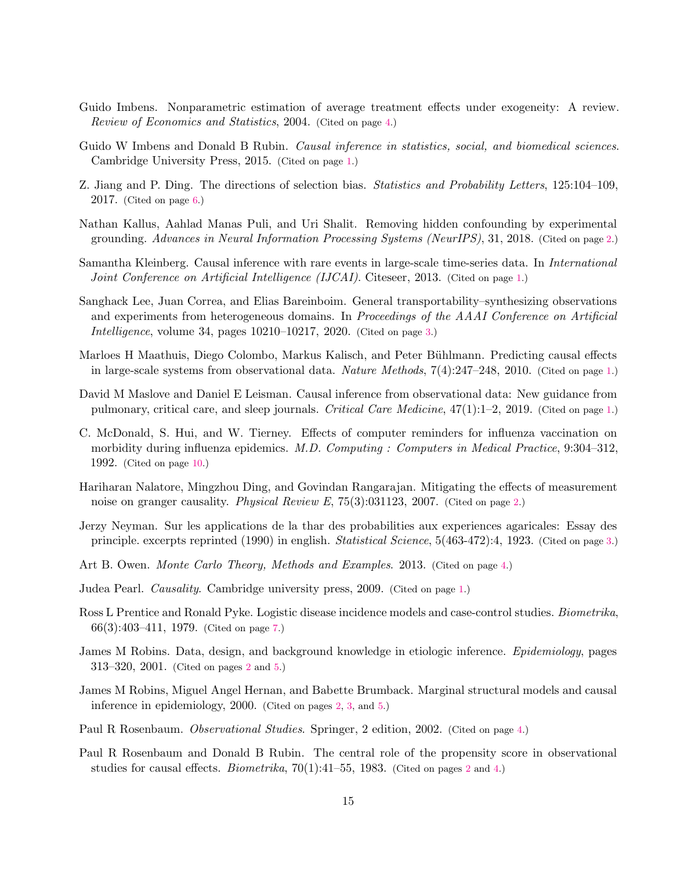- <span id="page-14-13"></span>Guido Imbens. Nonparametric estimation of average treatment effects under exogeneity: A review. Review of Economics and Statistics, 2004. (Cited on page [4.](#page-3-3))
- <span id="page-14-0"></span>Guido W Imbens and Donald B Rubin. *Causal inference in statistics, social, and biomedical sciences*. Cambridge University Press, 2015. (Cited on page [1.](#page-0-0))
- <span id="page-14-15"></span>Z. Jiang and P. Ding. The directions of selection bias. Statistics and Probability Letters, 125:104–109, 2017. (Cited on page [6.](#page-5-2))
- <span id="page-14-9"></span>Nathan Kallus, Aahlad Manas Puli, and Uri Shalit. Removing hidden confounding by experimental grounding. Advances in Neural Information Processing Systems (NeurIPS), 31, 2018. (Cited on page [2.](#page-1-0))
- <span id="page-14-3"></span>Samantha Kleinberg. Causal inference with rare events in large-scale time-series data. In International Joint Conference on Artificial Intelligence (IJCAI). Citeseer, 2013. (Cited on page [1.](#page-0-0))
- <span id="page-14-10"></span>Sanghack Lee, Juan Correa, and Elias Bareinboim. General transportability–synthesizing observations and experiments from heterogeneous domains. In Proceedings of the AAAI Conference on Artificial Intelligence, volume 34, pages 10210–10217, 2020. (Cited on page [3.](#page-2-1))
- <span id="page-14-2"></span>Marloes H Maathuis, Diego Colombo, Markus Kalisch, and Peter Bühlmann. Predicting causal effects in large-scale systems from observational data. Nature Methods, 7(4):247–248, 2010. (Cited on page [1.](#page-0-0))
- <span id="page-14-4"></span>David M Maslove and Daniel E Leisman. Causal inference from observational data: New guidance from pulmonary, critical care, and sleep journals. Critical Care Medicine, 47(1):1–2, 2019. (Cited on page [1.](#page-0-0))
- <span id="page-14-17"></span>C. McDonald, S. Hui, and W. Tierney. Effects of computer reminders for influenza vaccination on morbidity during influenza epidemics. M.D. Computing : Computers in Medical Practice, 9:304–312, 1992. (Cited on page [10.](#page-9-1))
- <span id="page-14-6"></span>Hariharan Nalatore, Mingzhou Ding, and Govindan Rangarajan. Mitigating the effects of measurement noise on granger causality. *Physical Review E*, 75(3):031123, 2007. (Cited on page [2.](#page-1-0))
- <span id="page-14-11"></span>Jerzy Neyman. Sur les applications de la thar des probabilities aux experiences agaricales: Essay des principle. excerpts reprinted (1990) in english. Statistical Science, 5(463-472):4, 1923. (Cited on page [3.](#page-2-1))
- <span id="page-14-14"></span>Art B. Owen. Monte Carlo Theory, Methods and Examples. 2013. (Cited on page [4.](#page-3-3))
- <span id="page-14-1"></span>Judea Pearl. Causality. Cambridge university press, 2009. (Cited on page [1.](#page-0-0))
- <span id="page-14-16"></span>Ross L Prentice and Ronald Pyke. Logistic disease incidence models and case-control studies. Biometrika, 66(3):403–411, 1979. (Cited on page [7.](#page-6-4))
- <span id="page-14-8"></span>James M Robins. Data, design, and background knowledge in etiologic inference. Epidemiology, pages 313–320, 2001. (Cited on pages [2](#page-1-0) and [5.](#page-4-1))
- <span id="page-14-7"></span>James M Robins, Miguel Angel Hernan, and Babette Brumback. Marginal structural models and causal inference in epidemiology, 2000. (Cited on pages [2,](#page-1-0) [3,](#page-2-1) and [5.](#page-4-1))
- <span id="page-14-12"></span>Paul R Rosenbaum. Observational Studies. Springer, 2 edition, 2002. (Cited on page [4.](#page-3-3))
- <span id="page-14-5"></span>Paul R Rosenbaum and Donald B Rubin. The central role of the propensity score in observational studies for causal effects. *Biometrika*,  $70(1):41-55$ , 1983. (Cited on pages [2](#page-1-0) and [4.](#page-3-3))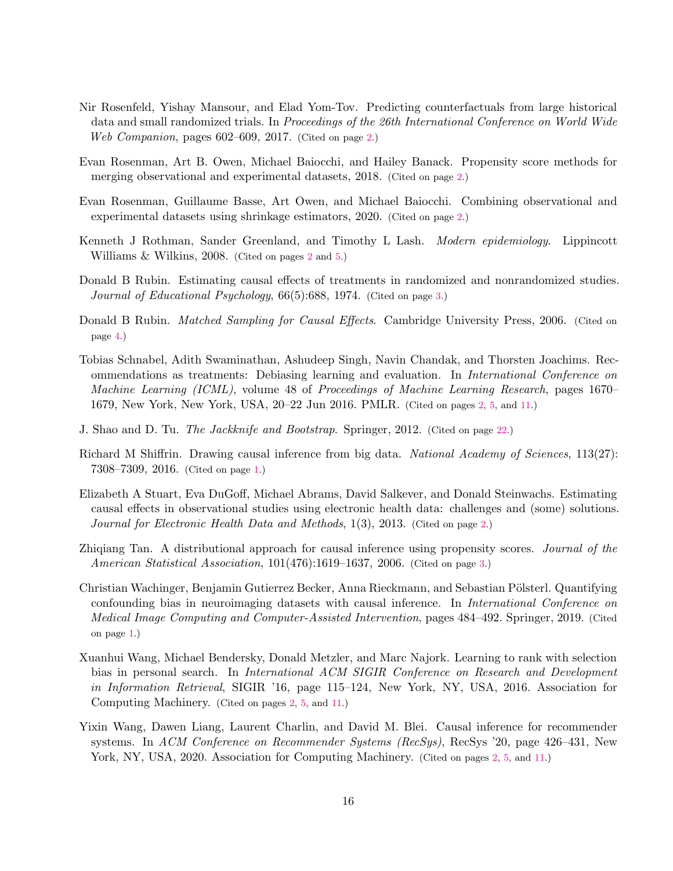- <span id="page-15-7"></span>Nir Rosenfeld, Yishay Mansour, and Elad Yom-Tov. Predicting counterfactuals from large historical data and small randomized trials. In Proceedings of the 26th International Conference on World Wide Web Companion, pages 602–609, 2017. (Cited on page [2.](#page-1-0))
- <span id="page-15-8"></span>Evan Rosenman, Art B. Owen, Michael Baiocchi, and Hailey Banack. Propensity score methods for merging observational and experimental datasets, 2018. (Cited on page [2.](#page-1-0))
- <span id="page-15-9"></span>Evan Rosenman, Guillaume Basse, Art Owen, and Michael Baiocchi. Combining observational and experimental datasets using shrinkage estimators, 2020. (Cited on page [2.](#page-1-0))
- <span id="page-15-3"></span>Kenneth J Rothman, Sander Greenland, and Timothy L Lash. Modern epidemiology. Lippincott Williams & Wilkins, 2008. (Cited on pages [2](#page-1-0) and [5.](#page-4-1))
- <span id="page-15-11"></span>Donald B Rubin. Estimating causal effects of treatments in randomized and nonrandomized studies. Journal of Educational Psychology, 66(5):688, 1974. (Cited on page [3.](#page-2-1))
- <span id="page-15-12"></span>Donald B Rubin. Matched Sampling for Causal Effects. Cambridge University Press, 2006. (Cited on page [4.](#page-3-3))
- <span id="page-15-5"></span>Tobias Schnabel, Adith Swaminathan, Ashudeep Singh, Navin Chandak, and Thorsten Joachims. Recommendations as treatments: Debiasing learning and evaluation. In International Conference on Machine Learning (ICML), volume 48 of Proceedings of Machine Learning Research, pages 1670– 1679, New York, New York, USA, 20–22 Jun 2016. PMLR. (Cited on pages [2,](#page-1-0) [5,](#page-4-1) and [11.](#page-10-1))
- <span id="page-15-13"></span>J. Shao and D. Tu. The Jackknife and Bootstrap. Springer, 2012. (Cited on page [22.](#page-21-1))
- <span id="page-15-0"></span>Richard M Shiffrin. Drawing causal inference from big data. National Academy of Sciences, 113(27): 7308–7309, 2016. (Cited on page [1.](#page-0-0))
- <span id="page-15-2"></span>Elizabeth A Stuart, Eva DuGoff, Michael Abrams, David Salkever, and Donald Steinwachs. Estimating causal effects in observational studies using electronic health data: challenges and (some) solutions. Journal for Electronic Health Data and Methods, 1(3), 2013. (Cited on page [2.](#page-1-0))
- <span id="page-15-10"></span>Zhiqiang Tan. A distributional approach for causal inference using propensity scores. Journal of the American Statistical Association, 101(476):1619–1637, 2006. (Cited on page [3.](#page-2-1))
- <span id="page-15-1"></span>Christian Wachinger, Benjamin Gutierrez Becker, Anna Rieckmann, and Sebastian Pölsterl. Quantifying confounding bias in neuroimaging datasets with causal inference. In International Conference on Medical Image Computing and Computer-Assisted Intervention, pages 484–492. Springer, 2019. (Cited on page [1.](#page-0-0))
- <span id="page-15-4"></span>Xuanhui Wang, Michael Bendersky, Donald Metzler, and Marc Najork. Learning to rank with selection bias in personal search. In International ACM SIGIR Conference on Research and Development in Information Retrieval, SIGIR '16, page 115–124, New York, NY, USA, 2016. Association for Computing Machinery. (Cited on pages [2,](#page-1-0) [5,](#page-4-1) and [11.](#page-10-1))
- <span id="page-15-6"></span>Yixin Wang, Dawen Liang, Laurent Charlin, and David M. Blei. Causal inference for recommender systems. In ACM Conference on Recommender Systems (RecSys), RecSys '20, page 426–431, New York, NY, USA, 2020. Association for Computing Machinery. (Cited on pages [2,](#page-1-0) [5,](#page-4-1) and [11.](#page-10-1))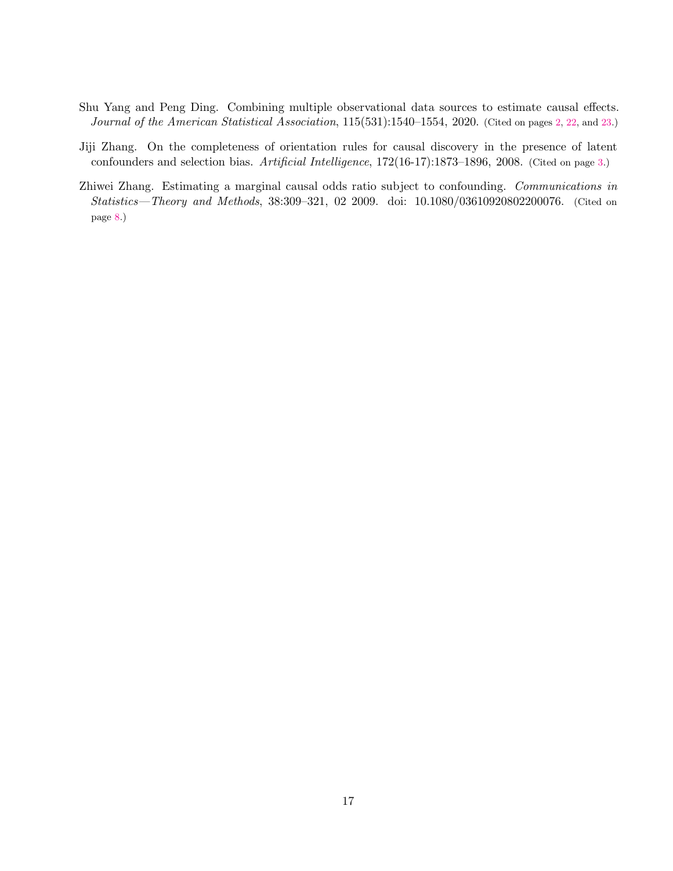- <span id="page-16-0"></span>Shu Yang and Peng Ding. Combining multiple observational data sources to estimate causal effects. Journal of the American Statistical Association, 115(531):1540–1554, 2020. (Cited on pages [2,](#page-1-0) [22,](#page-21-1) and [23.](#page-22-1))
- <span id="page-16-1"></span>Jiji Zhang. On the completeness of orientation rules for causal discovery in the presence of latent confounders and selection bias. Artificial Intelligence, 172(16-17):1873–1896, 2008. (Cited on page [3.](#page-2-1))
- <span id="page-16-2"></span>Zhiwei Zhang. Estimating a marginal causal odds ratio subject to confounding. Communications in Statistics—Theory and Methods, 38:309–321, 02 2009. doi: 10.1080/03610920802200076. (Cited on page [8.](#page-7-1))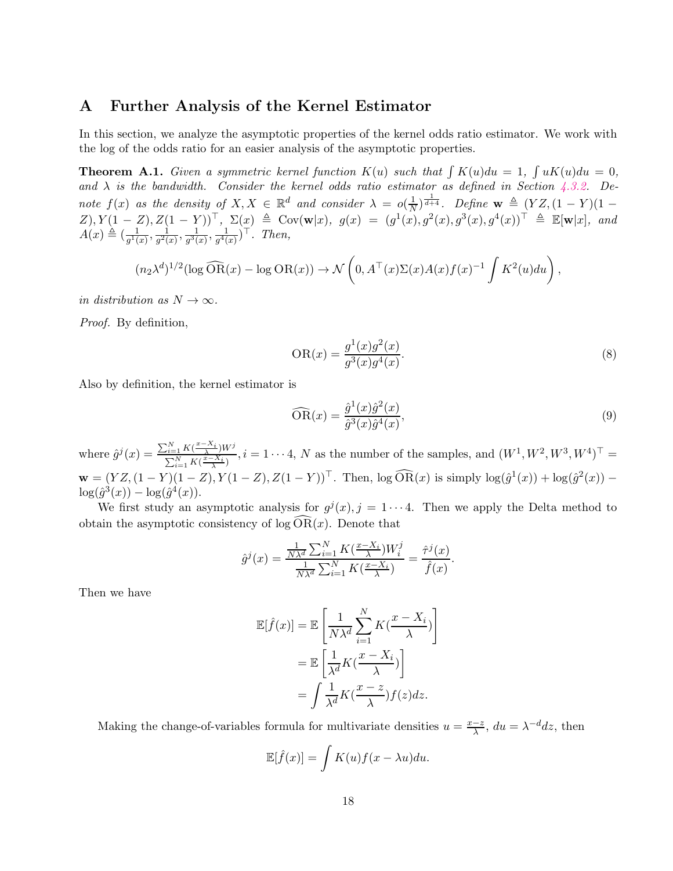### <span id="page-17-0"></span>A Further Analysis of the Kernel Estimator

In this section, we analyze the asymptotic properties of the kernel odds ratio estimator. We work with the log of the odds ratio for an easier analysis of the asymptotic properties.

**Theorem A.1.** Given a symmetric kernel function  $K(u)$  such that  $\int K(u)du = 1$ ,  $\int uK(u)du = 0$ , and  $\lambda$  is the bandwidth. Consider the kernel odds ratio estimator as defined in Section [4.3.2.](#page-6-3) Denote  $f(x)$  as the density of  $X, X \in \mathbb{R}^d$  and consider  $\lambda = o(\frac{1}{N})$  $\frac{1}{N}$ )<sup> $\frac{1}{d+4}$ </sup>. Define **w**  $\triangleq$   $(YZ,(1-Y)(1-\$  $Z$ ),  $Y(1 - Z), Z(1 - Y)^{\top}, \Sigma(x) \triangleq \text{Cov}(\mathbf{w}|x), g(x) = (g^1(x), g^2(x), g^3(x), g^4(x))^{\top} \triangleq \mathbb{E}[\mathbf{w}|x], \text{ and }$  $A(x) \triangleq \left(\frac{1}{a^{1/3}}\right)$  $\frac{1}{g^1(x)}, \frac{1}{g^2(x)}$  $\frac{1}{g^2(x)}, \frac{1}{g^3(x)}$  $\frac{1}{g^3(x)}, \frac{1}{g^4(x)}$  $\frac{1}{g^4(x)}$ )<sup>T</sup>. Then,

$$
(n_2\lambda^d)^{1/2}(\log \widehat{\mathrm{OR}}(x) - \log \mathrm{OR}(x)) \to \mathcal{N}\left(0, A^\top(x)\Sigma(x)A(x)f(x)^{-1}\int K^2(u)du\right)
$$

in distribution as  $N \to \infty$ .

Proof. By definition,

$$
OR(x) = \frac{g^{1}(x)g^{2}(x)}{g^{3}(x)g^{4}(x)}.
$$
\n(8)

,

Also by definition, the kernel estimator is

$$
\widehat{\text{OR}}(x) = \frac{\hat{g}^1(x)\hat{g}^2(x)}{\hat{g}^3(x)\hat{g}^4(x)},\tag{9}
$$

where  $\hat{g}^j(x) = \frac{\sum_{i=1}^N K(\frac{x-X_i}{\lambda})W^j}{\sum_{i=1}^N K(\frac{x-X_i}{\lambda})}$  $\sum_{i=1}^{N} K(\frac{\lambda-1}{\lambda}, W^i, i=1 \cdots 4, N$  as the number of the samples, and  $(W^1, W^2, W^3, W^4)^\top =$  $\mathbf{w} = (YZ, (1-Y)(1-Z), Y(1-Z), Z(1-Y))^{\top}$ . Then,  $\log \widehat{OR}(x)$  is simply  $\log(\hat{g}^{1}(x)) + \log(\hat{g}^{2}(x))$  - $\log(\hat{g}^{3}(x)) - \log(\hat{g}^{4}(x)).$ 

We first study an asymptotic analysis for  $g^{j}(x), j = 1 \cdots 4$ . Then we apply the Delta method to obtain the asymptotic consistency of  $log OR(x)$ . Denote that

$$
\hat{g}^j(x) = \frac{\frac{1}{N\lambda^d} \sum_{i=1}^N K(\frac{x - X_i}{\lambda}) W_i^j}{\frac{1}{N\lambda^d} \sum_{i=1}^N K(\frac{x - X_i}{\lambda})} = \frac{\hat{\tau}^j(x)}{\hat{f}(x)}.
$$

Then we have

$$
\mathbb{E}[\hat{f}(x)] = \mathbb{E}\left[\frac{1}{N\lambda^d} \sum_{i=1}^N K(\frac{x - X_i}{\lambda})\right]
$$

$$
= \mathbb{E}\left[\frac{1}{\lambda^d} K(\frac{x - X_i}{\lambda})\right]
$$

$$
= \int \frac{1}{\lambda^d} K(\frac{x - z}{\lambda}) f(z) dz.
$$

Making the change-of-variables formula for multivariate densities  $u = \frac{x-z}{\lambda}$  $\frac{-z}{\lambda}$ ,  $du = \lambda^{-d} dz$ , then

$$
\mathbb{E}[\hat{f}(x)] = \int K(u)f(x - \lambda u)du.
$$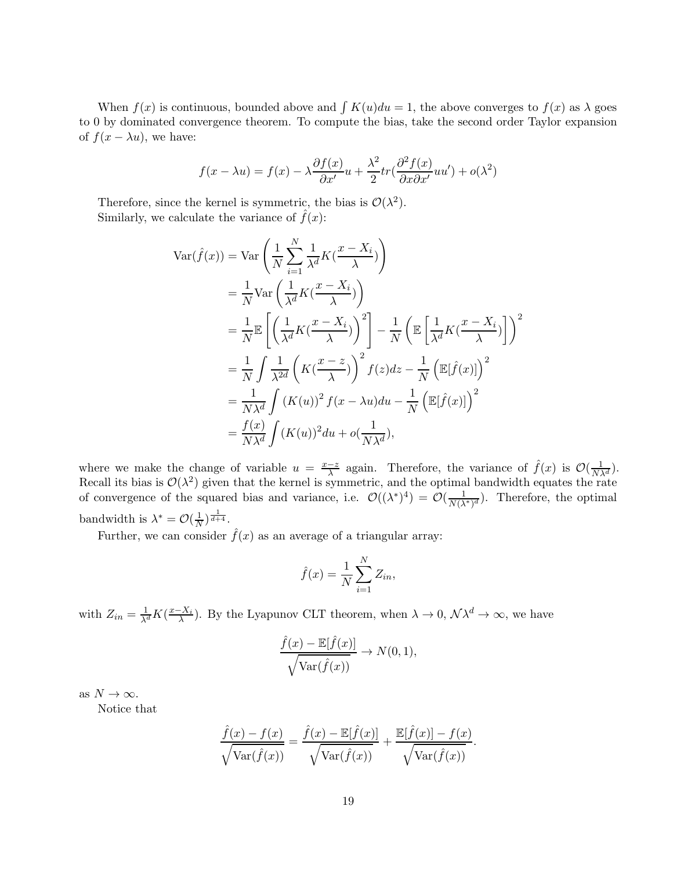When  $f(x)$  is continuous, bounded above and  $\int K(u)du = 1$ , the above converges to  $f(x)$  as  $\lambda$  goes to 0 by dominated convergence theorem. To compute the bias, take the second order Taylor expansion of  $f(x - \lambda u)$ , we have:

$$
f(x - \lambda u) = f(x) - \lambda \frac{\partial f(x)}{\partial x'} u + \frac{\lambda^2}{2} tr(\frac{\partial^2 f(x)}{\partial x \partial x'} u u') + o(\lambda^2)
$$

Therefore, since the kernel is symmetric, the bias is  $\mathcal{O}(\lambda^2)$ . Similarly, we calculate the variance of  $\hat{f}(x)$ :

$$
\begin{split}\n\text{Var}(\hat{f}(x)) &= \text{Var}\left(\frac{1}{N}\sum_{i=1}^{N}\frac{1}{\lambda^d}K(\frac{x-X_i}{\lambda})\right) \\
&= \frac{1}{N}\text{Var}\left(\frac{1}{\lambda^d}K(\frac{x-X_i}{\lambda})\right) \\
&= \frac{1}{N}\mathbb{E}\left[\left(\frac{1}{\lambda^d}K(\frac{x-X_i}{\lambda})\right)^2\right] - \frac{1}{N}\left(\mathbb{E}\left[\frac{1}{\lambda^d}K(\frac{x-X_i}{\lambda})\right]\right)^2 \\
&= \frac{1}{N}\int \frac{1}{\lambda^{2d}}\left(K(\frac{x-z}{\lambda})\right)^2 f(z)dz - \frac{1}{N}\left(\mathbb{E}[\hat{f}(x)]\right)^2 \\
&= \frac{1}{N\lambda^d}\int (K(u))^2 f(x-\lambda u)du - \frac{1}{N}\left(\mathbb{E}[\hat{f}(x)]\right)^2 \\
&= \frac{f(x)}{N\lambda^d}\int (K(u))^2 du + o(\frac{1}{N\lambda^d}),\n\end{split}
$$

where we make the change of variable  $u = \frac{x-z}{\lambda}$  again. Therefore, the variance of  $\hat{f}(x)$  is  $\mathcal{O}(\frac{1}{N\lambda^d})$ . Recall its bias is  $\mathcal{O}(\lambda^2)$  given that the kernel is symmetric, and the optimal bandwidth equates the rate of convergence of the squared bias and variance, i.e.  $\mathcal{O}((\lambda^*)^4) = \mathcal{O}(\frac{1}{N(\lambda^*)^d})$ . Therefore, the optimal bandwidth is  $\lambda^* = \mathcal{O}(\frac{1}{N})$  $\frac{1}{N}$ ) $\frac{1}{d+4}$ .

Further, we can consider  $\hat{f}(x)$  as an average of a triangular array:

$$
\hat{f}(x) = \frac{1}{N} \sum_{i=1}^{N} Z_{in},
$$

with  $Z_{in} = \frac{1}{\lambda^d} K(\frac{x - X_i}{\lambda})$ . By the Lyapunov CLT theorem, when  $\lambda \to 0$ ,  $\mathcal{N} \lambda^d \to \infty$ , we have

$$
\frac{\hat{f}(x) - \mathbb{E}[\hat{f}(x)]}{\sqrt{\text{Var}(\hat{f}(x))}} \to N(0, 1),
$$

as  $N \to \infty$ .

Notice that

$$
\frac{\hat{f}(x) - f(x)}{\sqrt{\text{Var}(\hat{f}(x))}} = \frac{\hat{f}(x) - \mathbb{E}[\hat{f}(x)]}{\sqrt{\text{Var}(\hat{f}(x))}} + \frac{\mathbb{E}[\hat{f}(x)] - f(x)}{\sqrt{\text{Var}(\hat{f}(x))}}
$$

.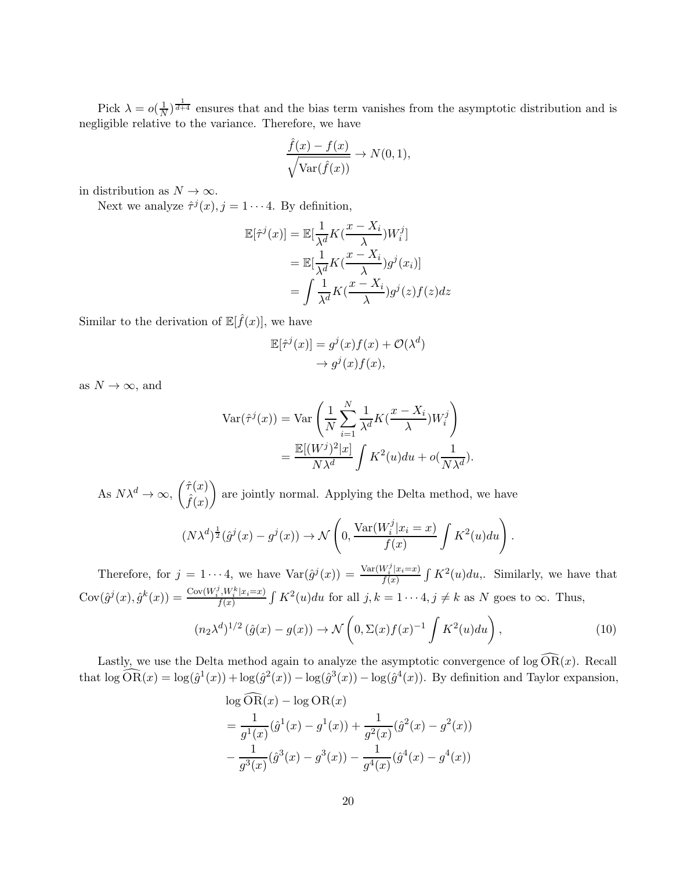Pick  $\lambda = o(\frac{1}{N})$  $\frac{1}{N}$ )<sup> $\frac{1}{d+4}$ </sup> ensures that and the bias term vanishes from the asymptotic distribution and is negligible relative to the variance. Therefore, we have

$$
\frac{\hat{f}(x) - f(x)}{\sqrt{\text{Var}(\hat{f}(x))}} \to N(0, 1),
$$

in distribution as  $N \to \infty$ .

Next we analyze  $\hat{\tau}^j(x)$ ,  $j = 1 \cdots 4$ . By definition,

$$
\mathbb{E}[\hat{\tau}^j(x)] = \mathbb{E}[\frac{1}{\lambda^d}K(\frac{x - X_i}{\lambda})W_i^j]
$$
  
= 
$$
\mathbb{E}[\frac{1}{\lambda^d}K(\frac{x - X_i}{\lambda})g^j(x_i)]
$$
  
= 
$$
\int \frac{1}{\lambda^d}K(\frac{x - X_i}{\lambda})g^j(z)f(z)dz
$$

Similar to the derivation of  $\mathbb{E}[\hat{f}(x)],$  we have

$$
\mathbb{E}[\hat{\tau}^j(x)] = g^j(x)f(x) + \mathcal{O}(\lambda^d) \to g^j(x)f(x),
$$

as  $N \to \infty$ , and

$$
\operatorname{Var}(\hat{\tau}^j(x)) = \operatorname{Var}\left(\frac{1}{N}\sum_{i=1}^N \frac{1}{\lambda^d} K(\frac{x - X_i}{\lambda}) W_i^j\right)
$$

$$
= \frac{\mathbb{E}[(W^j)^2 | x]}{N\lambda^d} \int K^2(u) du + o(\frac{1}{N\lambda^d}).
$$

As  $N\lambda^d \to \infty$ ,  $\begin{pmatrix} \hat{\tau}(x) \\ \hat{f}(x) \end{pmatrix}$  $\hat{f}(x)$  $\setminus$ are jointly normal. Applying the Delta method, we have

$$
(N\lambda^d)^{\frac{1}{2}}(\hat{g}^j(x)-g^j(x)) \to \mathcal{N}\left(0, \frac{\text{Var}(W_i^j|x_i=x)}{f(x)}\int K^2(u)du\right).
$$

Therefore, for  $j = 1 \cdots 4$ , we have  $Var(\hat{g}^{j}(x)) = \frac{Var(W_{i}^{j}|x_{i}=x)}{f(x)}$  $\frac{W_i'|x_i=x)}{f(x)}$   $\int K^2(u)du$ , Similarly, we have that  $Cov(\hat{g}^j(x), \hat{g}^k(x)) = \frac{Cov(W_i^j, W_i^k | x_i=x)}{f(x)}$  $f_{f(x)}^{N_t N_t^x | x_i = x}$   $\int K^2(u) du$  for all  $j, k = 1 \cdots 4, j \neq k$  as N goes to  $\infty$ . Thus,

<span id="page-19-0"></span>
$$
(n_2\lambda^d)^{1/2}(\hat{g}(x)-g(x)) \to \mathcal{N}\left(0,\Sigma(x)f(x)^{-1}\int K^2(u)du\right),\tag{10}
$$

Lastly, we use the Delta method again to analyze the asymptotic convergence of  $\log \widehat{OR}(x)$ . Recall that  $\log \widehat{OR}(x) = \log(\hat{g}^1(x)) + \log(\hat{g}^2(x)) - \log(\hat{g}^3(x)) - \log(\hat{g}^4(x))$ . By definition and Taylor expansion,

$$
\log \text{OR}(x) - \log \text{OR}(x)
$$
  
=  $\frac{1}{g^1(x)} (\hat{g}^1(x) - g^1(x)) + \frac{1}{g^2(x)} (\hat{g}^2(x) - g^2(x))$   
-  $\frac{1}{g^3(x)} (\hat{g}^3(x) - g^3(x)) - \frac{1}{g^4(x)} (\hat{g}^4(x) - g^4(x))$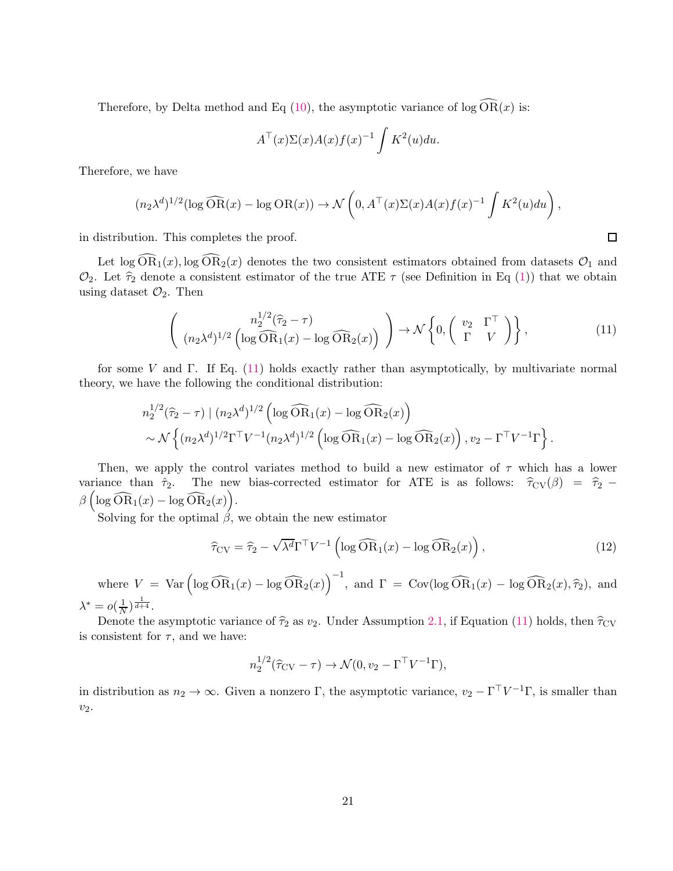Therefore, by Delta method and Eq [\(10\)](#page-19-0), the asymptotic variance of  $\log \widehat{\text{OR}}(x)$  is:

$$
A^{\top}(x)\Sigma(x)A(x)f(x)^{-1}\int K^2(u)du.
$$

Therefore, we have

$$
(n_2\lambda^d)^{1/2}(\log \widehat{\mathrm{OR}}(x) - \log \mathrm{OR}(x)) \to \mathcal{N}\left(0, A^\top(x)\Sigma(x)A(x)f(x)^{-1}\int K^2(u)du\right),
$$

in distribution. This completes the proof.

Let  $\log \widehat{\text{OR}}_1(x)$ ,  $\log \widehat{\text{OR}}_2(x)$  denotes the two consistent estimators obtained from datasets  $\mathcal{O}_1$  and  $\mathcal{O}_2$ . Let  $\hat{\tau}_2$  denote a consistent estimator of the true ATE  $\tau$  (see Definition in Eq [\(1\)](#page-2-0)) that we obtain using dataset  $\mathcal{O}_2$ . Then

$$
\left( \begin{array}{c} n_2^{1/2}(\widehat{\tau}_2 - \tau) \\ (n_2 \lambda^d)^{1/2} \left( \log \widehat{\text{OR}}_1(x) - \log \widehat{\text{OR}}_2(x) \right) \end{array} \right) \to \mathcal{N} \left\{ 0, \begin{pmatrix} v_2 & \Gamma^\top \\ \Gamma & V \end{pmatrix} \right\},\tag{11}
$$

for some V and Γ. If Eq.  $(11)$  holds exactly rather than asymptotically, by multivariate normal theory, we have the following the conditional distribution:

$$
n_2^{1/2}(\widehat{\tau}_2 - \tau) | (n_2 \lambda^d)^{1/2} \left( \log \widehat{\text{OR}}_1(x) - \log \widehat{\text{OR}}_2(x) \right) \sim \mathcal{N} \left\{ (n_2 \lambda^d)^{1/2} \Gamma^\top V^{-1} (n_2 \lambda^d)^{1/2} \left( \log \widehat{\text{OR}}_1(x) - \log \widehat{\text{OR}}_2(x) \right), v_2 - \Gamma^\top V^{-1} \Gamma \right\}.
$$

Then, we apply the control variates method to build a new estimator of  $\tau$  which has a lower variance than  $\hat{\tau}_2$ . The new bias-corrected estimator for ATE is as follows:  $\hat{\tau}_{CV}(\beta) = \hat{\tau}_2$  −  $\beta\left(\log \widehat{\text{OR}}_1(x) - \log \widehat{\text{OR}}_2(x)\right).$ 

Solving for the optimal  $\beta$ , we obtain the new estimator

$$
\widehat{\tau}_{CV} = \widehat{\tau}_2 - \sqrt{\lambda^d} \Gamma^\top V^{-1} \left( \log \widehat{\text{OR}}_1(x) - \log \widehat{\text{OR}}_2(x) \right),\tag{12}
$$

where  $V = \text{Var} \left( \log \widehat{\text{OR}}_1(x) - \log \widehat{\text{OR}}_2(x) \right)^{-1}$ , and  $\Gamma = \text{Cov} (\log \widehat{\text{OR}}_1(x) - \log \widehat{\text{OR}}_2(x), \widehat{\tau}_2)$ , and  $\lambda^* = o(\frac{1}{\lambda})$  $\frac{1}{N}$ ) $\frac{1}{d+4}$ .

Denote the asymptotic variance of  $\hat{\tau}_2$  as  $v_2$ . Under Assumption [2.1,](#page-3-0) if Equation [\(11\)](#page-20-0) holds, then  $\hat{\tau}_{CV}$ is consistent for  $\tau$ , and we have:

$$
n_2^{1/2}(\widehat{\tau}_{CV}-\tau) \to \mathcal{N}(0, v_2 - \Gamma^{\top}V^{-1}\Gamma),
$$

in distribution as  $n_2 \to \infty$ . Given a nonzero Γ, the asymptotic variance,  $v_2 - \Gamma^{\top} V^{-1} \Gamma$ , is smaller than  $v_2$ .

<span id="page-20-0"></span> $\Box$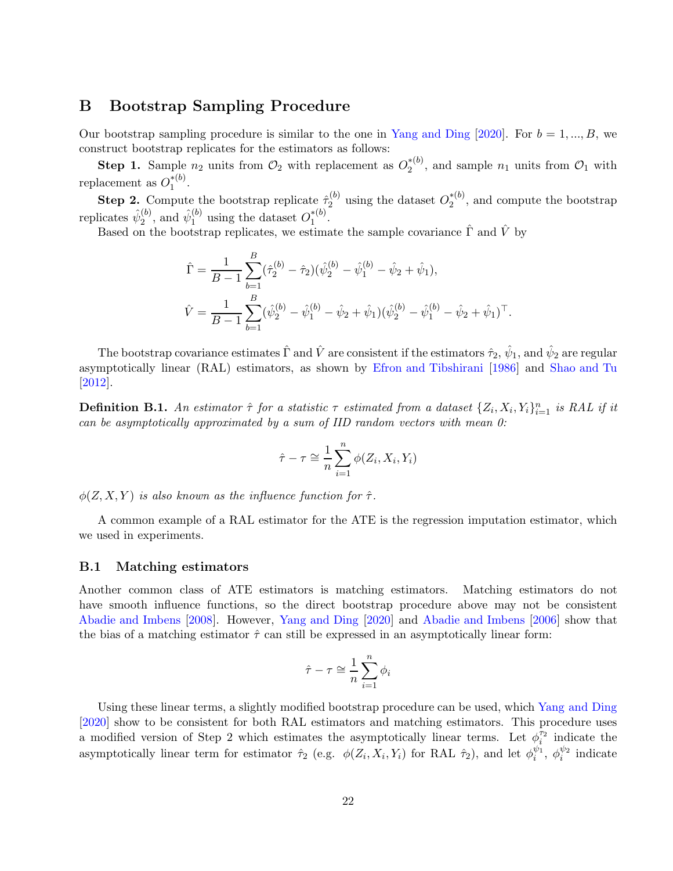### <span id="page-21-1"></span><span id="page-21-0"></span>B Bootstrap Sampling Procedure

Our bootstrap sampling procedure is similar to the one in [Yang and Ding](#page-16-0) [\[2020\]](#page-16-0). For  $b = 1, ..., B$ , we construct bootstrap replicates for the estimators as follows:

**Step 1.** Sample  $n_2$  units from  $\mathcal{O}_2$  with replacement as  $O_2^{*(b)}$  $2^{*(0)}$ , and sample  $n_1$  units from  $\mathcal{O}_1$  with replacement as  $O_1^{*(b)}$  $\frac{1}{1}^{*(v)}$ .

**Step 2.** Compute the bootstrap replicate  $\hat{\tau}_2^{(b)}$  $2^{(b)}_2$  using the dataset  $O_2^{*(b)}$  $2^{*(0)}$ , and compute the bootstrap replicates  $\hat{\psi}_2^{(b)}$  $\hat{\psi}_1^{(b)}$ , and  $\hat{\psi}_1^{(b)}$  $_1^{(b)}$  using the dataset  $O_1^{*(b)}$  $\frac{1}{1}^{*(v)}$ .

Based on the bootstrap replicates, we estimate the sample covariance  $\hat{\Gamma}$  and  $\hat{V}$  by

$$
\hat{\Gamma} = \frac{1}{B-1} \sum_{b=1}^{B} (\hat{\tau}_2^{(b)} - \hat{\tau}_2)(\hat{\psi}_2^{(b)} - \hat{\psi}_1^{(b)} - \hat{\psi}_2 + \hat{\psi}_1),
$$
  

$$
\hat{V} = \frac{1}{B-1} \sum_{b=1}^{B} (\hat{\psi}_2^{(b)} - \hat{\psi}_1^{(b)} - \hat{\psi}_2 + \hat{\psi}_1)(\hat{\psi}_2^{(b)} - \hat{\psi}_1^{(b)} - \hat{\psi}_2 + \hat{\psi}_1)^{\top}.
$$

The bootstrap covariance estimates  $\hat\Gamma$  and  $\hat V$  are consistent if the estimators  $\hat\tau_2,\,\hat\psi_1,$  and  $\hat\psi_2$  are regular asymptotically linear (RAL) estimators, as shown by [Efron and Tibshirani](#page-13-15) [\[1986\]](#page-13-15) and [Shao and Tu](#page-15-13) [\[2012\]](#page-15-13).

**Definition B.1.** An estimator  $\hat{\tau}$  for a statistic  $\tau$  estimated from a dataset  $\{Z_i, X_i, Y_i\}_{i=1}^n$  is RAL if it can be asymptotically approximated by a sum of IID random vectors with mean 0:

$$
\hat{\tau} - \tau \cong \frac{1}{n} \sum_{i=1}^{n} \phi(Z_i, X_i, Y_i)
$$

 $\phi(Z, X, Y)$  is also known as the influence function for  $\hat{\tau}$ .

A common example of a RAL estimator for the ATE is the regression imputation estimator, which we used in experiments.

### B.1 Matching estimators

Another common class of ATE estimators is matching estimators. Matching estimators do not have smooth influence functions, so the direct bootstrap procedure above may not be consistent [Abadie and Imbens](#page-12-3) [\[2008](#page-12-3)]. However, [Yang and Ding](#page-16-0) [\[2020](#page-16-0)] and [Abadie and Imbens](#page-12-4) [\[2006\]](#page-12-4) show that the bias of a matching estimator  $\hat{\tau}$  can still be expressed in an asymptotically linear form:

$$
\hat{\tau} - \tau \cong \frac{1}{n} \sum_{i=1}^{n} \phi_i
$$

Using these linear terms, a slightly modified bootstrap procedure can be used, which [Yang and Ding](#page-16-0) [\[2020\]](#page-16-0) show to be consistent for both RAL estimators and matching estimators. This procedure uses a modified version of Step 2 which estimates the asymptotically linear terms. Let  $\phi_i^{\tau_2}$  $i^{\tau_2}$  indicate the asymptotically linear term for estimator  $\hat{\tau}_2$  (e.g.  $\phi(Z_i, X_i, Y_i)$  for RAL  $\hat{\tau}_2$ ), and let  $\phi_i^{\psi_1}$  $\psi_1, \phi_i^{\psi_2}$  $i^{\psi_2}$  indicate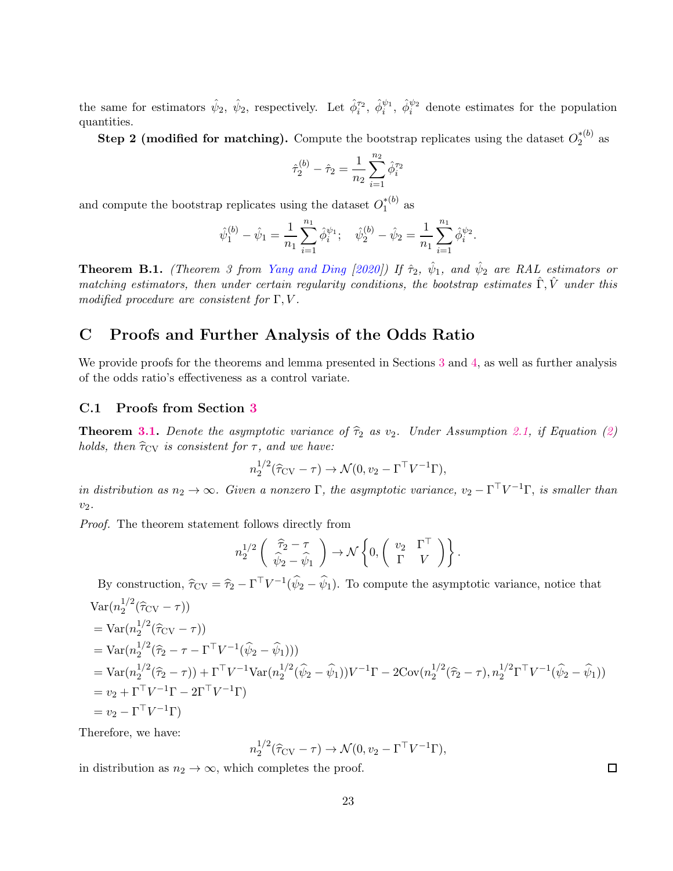<span id="page-22-1"></span>the same for estimators  $\hat{\psi}_2$ ,  $\hat{\psi}_2$ , respectively. Let  $\hat{\phi}_i^{\tau_2}$ ,  $\hat{\phi}_i^{\psi_1}$ ,  $\hat{\phi}_i^{\psi_2}$  denote estimates for the population quantities.

Step 2 (modified for matching). Compute the bootstrap replicates using the dataset  $O_2^{*(b)}$  $\frac{1}{2}^{\ast}$  as

$$
\hat{\tau}_2^{(b)} - \hat{\tau}_2 = \frac{1}{n_2} \sum_{i=1}^{n_2} \hat{\phi}_i^{\tau_2}
$$

and compute the bootstrap replicates using the dataset  $O_1^{*(b)}$  $\int_{1}^{*(U)}$  as

$$
\hat{\psi}_1^{(b)} - \hat{\psi}_1 = \frac{1}{n_1} \sum_{i=1}^{n_1} \hat{\phi}_i^{\psi_1}; \quad \hat{\psi}_2^{(b)} - \hat{\psi}_2 = \frac{1}{n_1} \sum_{i=1}^{n_1} \hat{\phi}_i^{\psi_2}.
$$

**Theorem B.1.** (Theorem 3 from [Yang and Ding](#page-16-0) [\[2020](#page-16-0)]) If  $\hat{\tau}_2$ ,  $\hat{\psi}_1$ , and  $\hat{\psi}_2$  are RAL estimators or matching estimators, then under certain regularity conditions, the bootstrap estimates  $\hat{\Gamma}, \hat{V}$  under this modified procedure are consistent for  $\Gamma, V$ .

# <span id="page-22-0"></span>C Proofs and Further Analysis of the Odds Ratio

We provide proofs for the theorems and lemma presented in Sections [3](#page-3-4) and [4,](#page-4-2) as well as further analysis of the odds ratio's effectiveness as a control variate.

### C.1 Proofs from Section [3](#page-3-4)

**Theorem [3.1.](#page-4-3)** Denote the asymptotic variance of  $\hat{\tau}_2$  as v<sub>2</sub>. Under Assumption [2.1,](#page-3-0) if Equation [\(2\)](#page-3-1) holds, then  $\hat{\tau}_{\text{CV}}$  is consistent for  $\tau$ , and we have:

$$
n_2^{1/2}(\widehat{\tau}_{\rm CV}-\tau) \to \mathcal{N}(0, v_2 - \Gamma^{\top} V^{-1} \Gamma),
$$

in distribution as  $n_2 \to \infty$ . Given a nonzero  $\Gamma$ , the asymptotic variance,  $v_2 - \Gamma^{\top} V^{-1} \Gamma$ , is smaller than  $v_2$ .

Proof. The theorem statement follows directly from

$$
n_2^{1/2} \left( \begin{array}{c} \widehat{\tau}_2 - \tau \\ \widehat{\psi}_2 - \widehat{\psi}_1 \end{array} \right) \rightarrow \mathcal{N} \left\{ 0, \left( \begin{array}{cc} v_2 & \Gamma^\top \\ \Gamma & V \end{array} \right) \right\}.
$$

By construction,  $\hat{\tau}_{CV} = \hat{\tau}_2 - \Gamma^{\top} V^{-1} (\hat{\psi}_2 - \hat{\psi}_1)$ . To compute the asymptotic variance, notice that

$$
\begin{split}\n\text{Var}(n_2^{1/2}(\hat{\tau}_{CV}-\tau)) \\
&= \text{Var}(n_2^{1/2}(\hat{\tau}_{CV}-\tau)) \\
&= \text{Var}(n_2^{1/2}(\hat{\tau}_2-\tau-\Gamma^{\top}V^{-1}(\hat{\psi}_2-\hat{\psi}_1))) \\
&= \text{Var}(n_2^{1/2}(\hat{\tau}_2-\tau)) + \Gamma^{\top}V^{-1}\text{Var}(n_2^{1/2}(\hat{\psi}_2-\hat{\psi}_1))V^{-1}\Gamma - 2\text{Cov}(n_2^{1/2}(\hat{\tau}_2-\tau),n_2^{1/2}\Gamma^{\top}V^{-1}(\hat{\psi}_2-\hat{\psi}_1)) \\
&= v_2 + \Gamma^{\top}V^{-1}\Gamma - 2\Gamma^{\top}V^{-1}\Gamma) \\
&= v_2 - \Gamma^{\top}V^{-1}\Gamma\n\end{split}
$$

Therefore, we have:

$$
n_2^{1/2}(\widehat{\tau}_{\rm CV}-\tau) \to \mathcal{N}(0, v_2 - \Gamma^\top V^{-1}\Gamma),
$$

in distribution as  $n_2 \to \infty$ , which completes the proof.

 $\Box$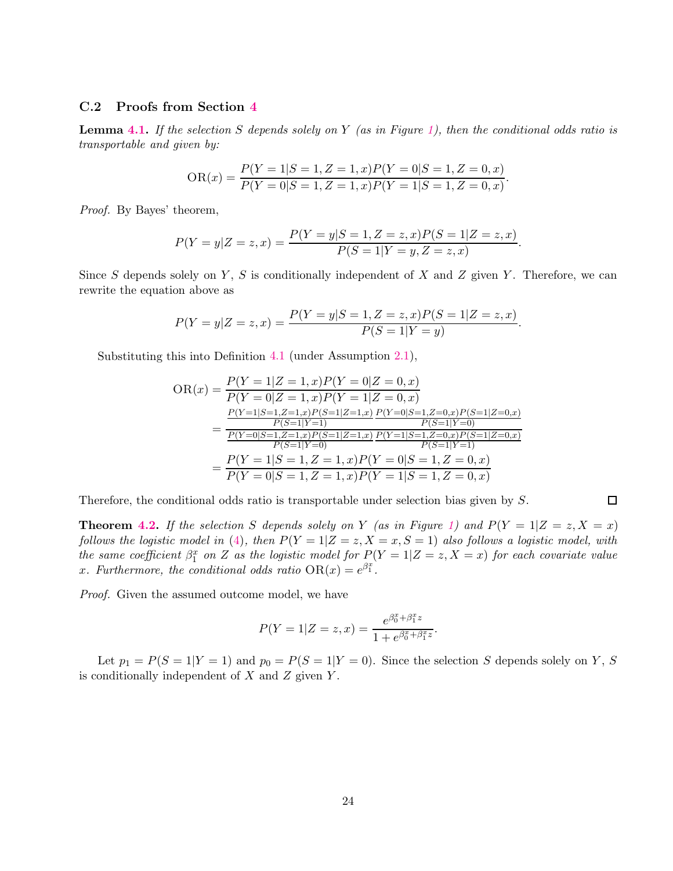### C.2 Proofs from Section [4](#page-4-2)

**Lemma [4.1.](#page-5-1)** If the selection S depends solely on Y (as in Figure [1\)](#page-4-0), then the conditional odds ratio is transportable and given by:

$$
OR(x) = \frac{P(Y = 1|S = 1, Z = 1, x)P(Y = 0|S = 1, Z = 0, x)}{P(Y = 0|S = 1, Z = 1, x)P(Y = 1|S = 1, Z = 0, x)}.
$$

Proof. By Bayes' theorem,

$$
P(Y = y|Z = z, x) = \frac{P(Y = y|S = 1, Z = z, x)P(S = 1|Z = z, x)}{P(S = 1|Y = y, Z = z, x)}.
$$

Since S depends solely on Y, S is conditionally independent of X and Z given Y. Therefore, we can rewrite the equation above as

$$
P(Y = y|Z = z, x) = \frac{P(Y = y|S = 1, Z = z, x)P(S = 1|Z = z, x)}{P(S = 1|Y = y)}.
$$

Substituting this into Definition [4.1](#page-5-0) (under Assumption [2.1\)](#page-3-0),

$$
OR(x) = \frac{P(Y=1|Z=1,x)P(Y=0|Z=0,x)}{P(Y=0|Z=1,x)P(Y=1|Z=0,x)}
$$
  
= 
$$
\frac{\frac{P(Y=1|S=1,Z=1,x)P(S=1|Z=1,x)}{P(S=1|Y=1)} \frac{P(Y=0|S=1,Z=0,x)P(S=1|Z=0,x)}{P(S=1|Y=0)}
$$
  
= 
$$
\frac{P(Y=0|S=1,Z=1,x)P(S=1|Z=1,x)}{P(S=1|Y=0)} \frac{P(Y=1|S=1,Z=0,x)P(S=1|Z=0,x)}{P(S=1|Y=1)}
$$
  
= 
$$
\frac{P(Y=1|S=1,Z=1,x)P(Y=0|S=1,Z=0,x)}{P(Y=0|S=1,Z=1,x)P(Y=1|S=1,Z=0,x)}
$$

Therefore, the conditional odds ratio is transportable under selection bias given by S.

 $\Box$ 

**Theorem [4.2.](#page-6-1)** If the selection S depends solely on Y (as in Figure [1\)](#page-4-0) and  $P(Y = 1|Z = z, X = x)$ follows the logistic model in [\(4\)](#page-6-0), then  $P(Y = 1 | Z = z, X = x, S = 1)$  also follows a logistic model, with the same coefficient  $\beta_1^x$  on Z as the logistic model for  $P(Y = 1 | Z = z, X = x)$  for each covariate value x. Furthermore, the conditional odds ratio  $OR(x) = e^{\beta_1^x}$ .

Proof. Given the assumed outcome model, we have

$$
P(Y = 1|Z = z, x) = \frac{e^{\beta_0^x + \beta_1^x z}}{1 + e^{\beta_0^x + \beta_1^x z}}.
$$

Let  $p_1 = P(S = 1|Y = 1)$  and  $p_0 = P(S = 1|Y = 0)$ . Since the selection S depends solely on Y, S is conditionally independent of  $X$  and  $Z$  given  $Y$ .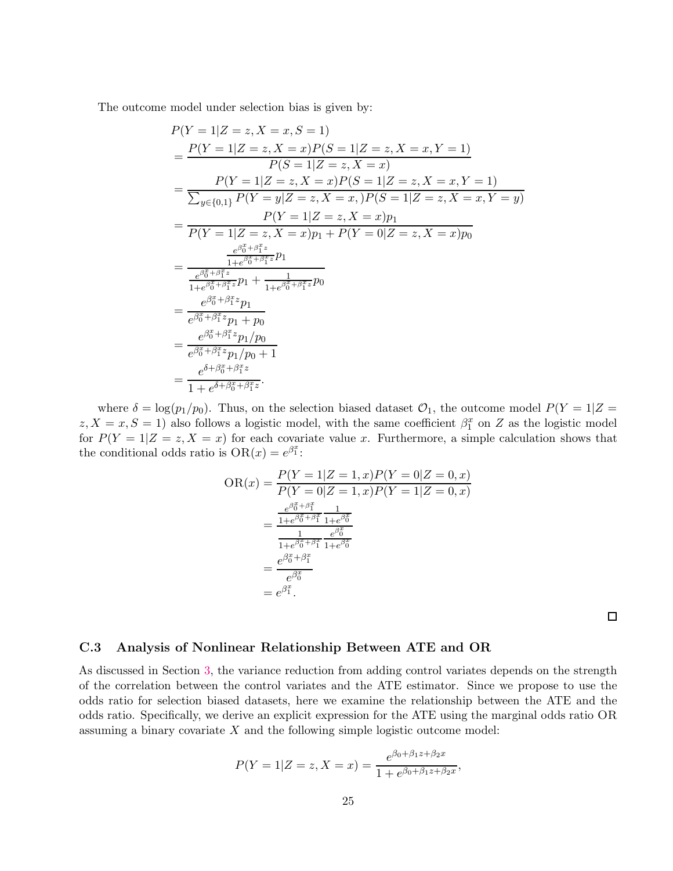The outcome model under selection bias is given by:

$$
P(Y = 1|Z = z, X = x, S = 1)
$$
\n
$$
= \frac{P(Y = 1|Z = z, X = x)P(S = 1|Z = z, X = x, Y = 1)}{P(S = 1|Z = z, X = x)}
$$
\n
$$
= \frac{P(Y = 1|Z = z, X = x)P(S = 1|Z = z, X = x, Y = 1)}{\sum_{y \in \{0,1\}} P(Y = y|Z = z, X = x, P(S = 1|Z = z, X = x, Y = y)}
$$
\n
$$
= \frac{P(Y = 1|Z = z, X = x)p_1}{P(Y = 1|Z = z, X = x)p_1 + P(Y = 0|Z = z, X = x)p_0}
$$
\n
$$
= \frac{e^{\beta_0^2 + \beta_1^2 z}}{\frac{1 + e^{\beta_0^2 + \beta_1^2 z}}{1 + e^{\beta_0^2 + \beta_1^2 z}}p_1 + \frac{1}{1 + e^{\beta_0^2 + \beta_1^2 z}}p_0}
$$
\n
$$
= \frac{e^{\beta_0^2 + \beta_1^2 z}}{e^{\beta_0^2 + \beta_1^2 z}p_1 + p_0}
$$
\n
$$
= \frac{e^{\beta_0^2 + \beta_1^2 z}}{e^{\beta_0^2 + \beta_1^2 z}p_1/p_0 + 1}
$$
\n
$$
= \frac{e^{\beta_0^2 + \beta_1^2 z}}{e^{\beta_0^2 + \beta_1^2 z}p_1/p_0 + 1}
$$
\n
$$
= \frac{e^{\delta_0 + \beta_0^2 z}}{1 + e^{\delta_0 + \beta_0^2 z}}
$$

where  $\delta = \log(p_1/p_0)$ . Thus, on the selection biased dataset  $\mathcal{O}_1$ , the outcome model  $P(Y = 1|Z =$  $z, X = x, S = 1$ ) also follows a logistic model, with the same coefficient  $\beta_1^x$  on Z as the logistic model for  $P(Y = 1|Z = z, X = x)$  for each covariate value x. Furthermore, a simple calculation shows that the conditional odds ratio is  $OR(x) = e^{\beta_1^x}$ :

$$
OR(x) = \frac{P(Y=1|Z=1, x)P(Y=0|Z=0, x)}{P(Y=0|Z=1, x)P(Y=1|Z=0, x)}
$$

$$
= \frac{\frac{e^{\beta_0^x + \beta_1^x}}{1 + e^{\beta_0^x + \beta_1^x}} \frac{1}{1 + e^{\beta_0^x}}}{\frac{1}{1 + e^{\beta_0^x + \beta_1^x}} \frac{e^{\beta_0^x}}{1 + e^{\beta_0^x}}}
$$

$$
= \frac{e^{\beta_0^x + \beta_1^x}}{e^{\beta_0^x}}
$$

$$
= e^{\beta_1^x}.
$$

 $\Box$ 

### C.3 Analysis of Nonlinear Relationship Between ATE and OR

As discussed in Section [3,](#page-3-4) the variance reduction from adding control variates depends on the strength of the correlation between the control variates and the ATE estimator. Since we propose to use the odds ratio for selection biased datasets, here we examine the relationship between the ATE and the odds ratio. Specifically, we derive an explicit expression for the ATE using the marginal odds ratio OR assuming a binary covariate X and the following simple logistic outcome model:

$$
P(Y = 1|Z = z, X = x) = \frac{e^{\beta_0 + \beta_1 z + \beta_2 x}}{1 + e^{\beta_0 + \beta_1 z + \beta_2 x}},
$$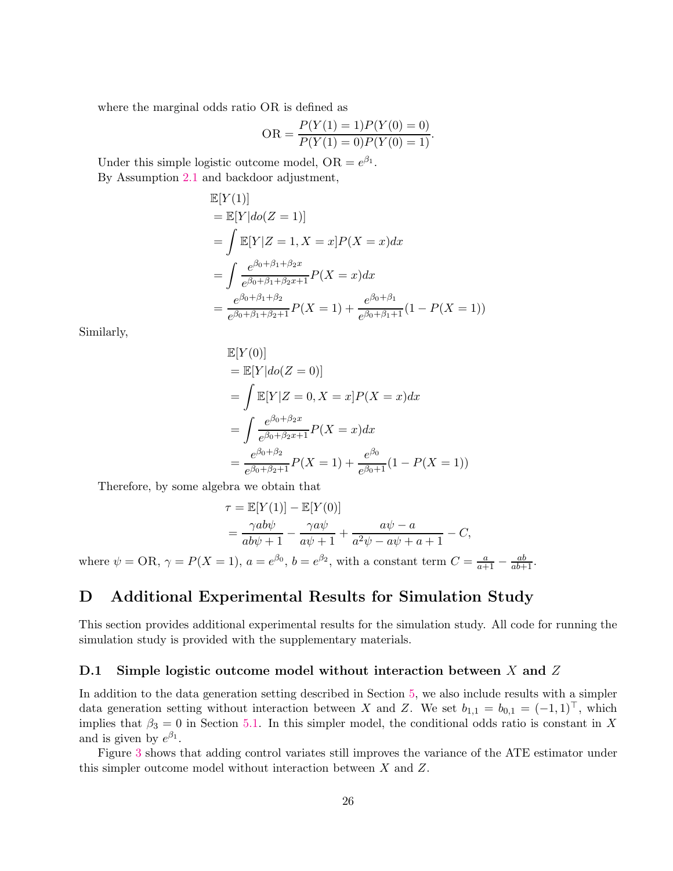where the marginal odds ratio OR is defined as

$$
OR = \frac{P(Y(1) = 1)P(Y(0) = 0)}{P(Y(1) = 0)P(Y(0) = 1)}.
$$

Under this simple logistic outcome model,  $OR = e^{\beta_1}$ . By Assumption [2.1](#page-3-0) and backdoor adjustment,  $E$ 

$$
\mathbb{E}[Y(1)]
$$
  
=  $\mathbb{E}[Y|do(Z = 1)]$   
=  $\int \mathbb{E}[Y|Z = 1, X = x]P(X = x)dx$   
=  $\int \frac{e^{\beta_0 + \beta_1 + \beta_2 x}}{e^{\beta_0 + \beta_1 + \beta_2 x + 1}}P(X = x)dx$   
=  $\frac{e^{\beta_0 + \beta_1 + \beta_2}}{e^{\beta_0 + \beta_1 + \beta_2 + 1}}P(X = 1) + \frac{e^{\beta_0 + \beta_1}}{e^{\beta_0 + \beta_1 + 1}}(1 - P(X = 1))$ 

Similarly,

$$
\mathbb{E}[Y(0)]
$$
  
=  $\mathbb{E}[Y|do(Z = 0)]$   
=  $\int \mathbb{E}[Y|Z = 0, X = x]P(X = x)dx$   
=  $\int \frac{e^{\beta_0 + \beta_2 x}}{e^{\beta_0 + \beta_2 x + 1}}P(X = x)dx$   
=  $\frac{e^{\beta_0 + \beta_2}}{e^{\beta_0 + \beta_2 + 1}}P(X = 1) + \frac{e^{\beta_0}}{e^{\beta_0 + 1}}(1 - P(X = 1))$ 

Therefore, by some algebra we obtain that

$$
\tau = \mathbb{E}[Y(1)] - \mathbb{E}[Y(0)]
$$
  
= 
$$
\frac{\gamma ab\psi}{ab\psi + 1} - \frac{\gamma a\psi}{a\psi + 1} + \frac{a\psi - a}{a^2\psi - a\psi + a + 1} - C,
$$

where  $\psi = \text{OR}, \gamma = P(X = 1), a = e^{\beta_0}, b = e^{\beta_2}$ , with a constant term  $C = \frac{a}{a+1} - \frac{ab}{ab+1}$ .

# <span id="page-25-0"></span>D Additional Experimental Results for Simulation Study

This section provides additional experimental results for the simulation study. All code for running the simulation study is provided with the supplementary materials.

### <span id="page-25-1"></span>D.1 Simple logistic outcome model without interaction between  $X$  and  $Z$

In addition to the data generation setting described in Section [5,](#page-7-2) we also include results with a simpler data generation setting without interaction between X and Z. We set  $b_{1,1} = b_{0,1} = (-1,1)^{\top}$ , which implies that  $\beta_3 = 0$  in Section [5.1.](#page-7-3) In this simpler model, the conditional odds ratio is constant in X and is given by  $e^{\beta_1}$ .

Figure [3](#page-26-0) shows that adding control variates still improves the variance of the ATE estimator under this simpler outcome model without interaction between  $X$  and  $Z$ .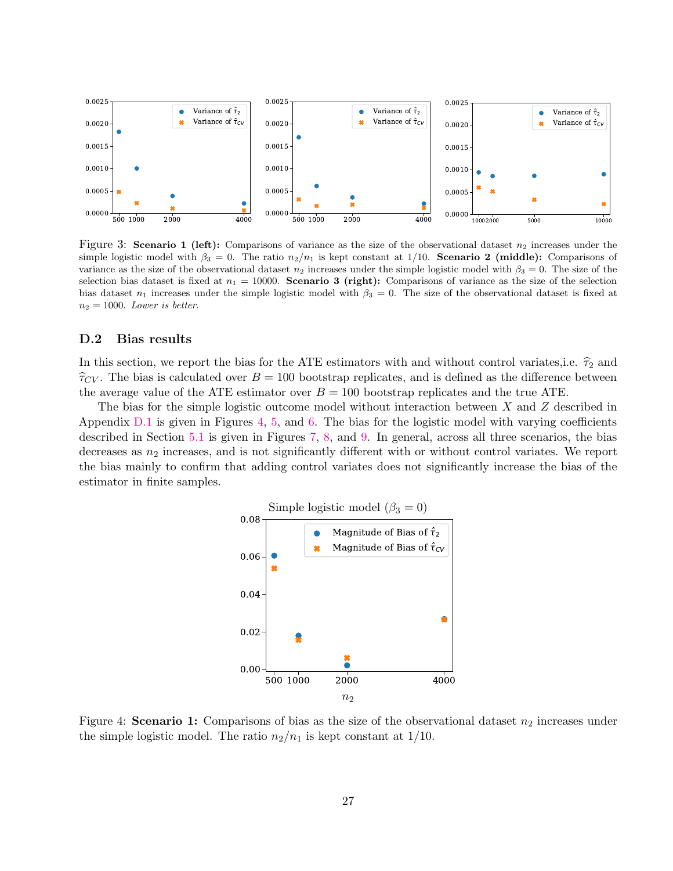

<span id="page-26-0"></span>Figure 3: Scenario 1 (left): Comparisons of variance as the size of the observational dataset  $n_2$  increases under the simple logistic model with  $\beta_3 = 0$ . The ratio  $n_2/n_1$  is kept constant at 1/10. **Scenario 2 (middle):** Comparisons of variance as the size of the observational dataset  $n_2$  increases under the simple logistic model with  $\beta_3 = 0$ . The size of the selection bias dataset is fixed at  $n_1 = 10000$ . Scenario 3 (right): Comparisons of variance as the size of the selection bias dataset  $n_1$  increases under the simple logistic model with  $\beta_3 = 0$ . The size of the observational dataset is fixed at  $n_2 = 1000$ . Lower is better.

### <span id="page-26-2"></span>D.2 Bias results

In this section, we report the bias for the ATE estimators with and without control variates,i.e.  $\hat{\tau}_2$  and  $\hat{\tau}_{CV}$ . The bias is calculated over  $B = 100$  bootstrap replicates, and is defined as the difference between the average value of the ATE estimator over  $B = 100$  bootstrap replicates and the true ATE.

The bias for the simple logistic outcome model without interaction between X and Z described in Appendix [D.1](#page-25-1) is given in Figures [4,](#page-26-1) [5,](#page-27-1) and [6.](#page-27-2) The bias for the logistic model with varying coefficients described in Section [5.1](#page-7-3) is given in Figures [7,](#page-28-0) [8,](#page-28-1) and [9.](#page-29-0) In general, across all three scenarios, the bias decreases as  $n_2$  increases, and is not significantly different with or without control variates. We report the bias mainly to confirm that adding control variates does not significantly increase the bias of the estimator in finite samples.



<span id="page-26-1"></span>Figure 4: Scenario 1: Comparisons of bias as the size of the observational dataset  $n_2$  increases under the simple logistic model. The ratio  $n_2/n_1$  is kept constant at  $1/10$ .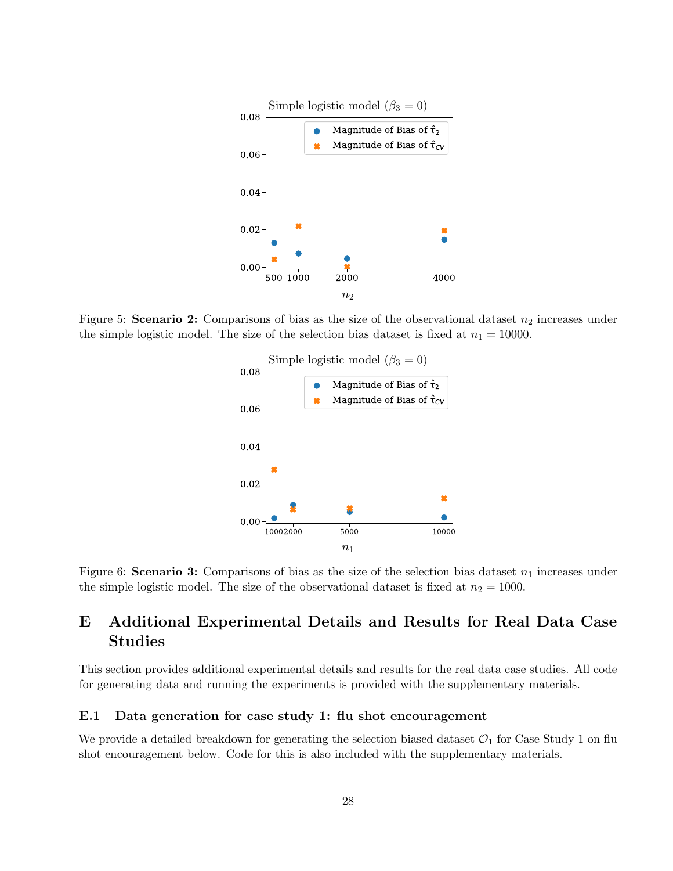

<span id="page-27-1"></span>Figure 5: Scenario 2: Comparisons of bias as the size of the observational dataset  $n_2$  increases under the simple logistic model. The size of the selection bias dataset is fixed at  $n_1 = 10000$ .



<span id="page-27-2"></span>Figure 6: Scenario 3: Comparisons of bias as the size of the selection bias dataset  $n_1$  increases under the simple logistic model. The size of the observational dataset is fixed at  $n_2 = 1000$ .

# <span id="page-27-0"></span>E Additional Experimental Details and Results for Real Data Case Studies

This section provides additional experimental details and results for the real data case studies. All code for generating data and running the experiments is provided with the supplementary materials.

### E.1 Data generation for case study 1: flu shot encouragement

We provide a detailed breakdown for generating the selection biased dataset  $\mathcal{O}_1$  for Case Study 1 on flu shot encouragement below. Code for this is also included with the supplementary materials.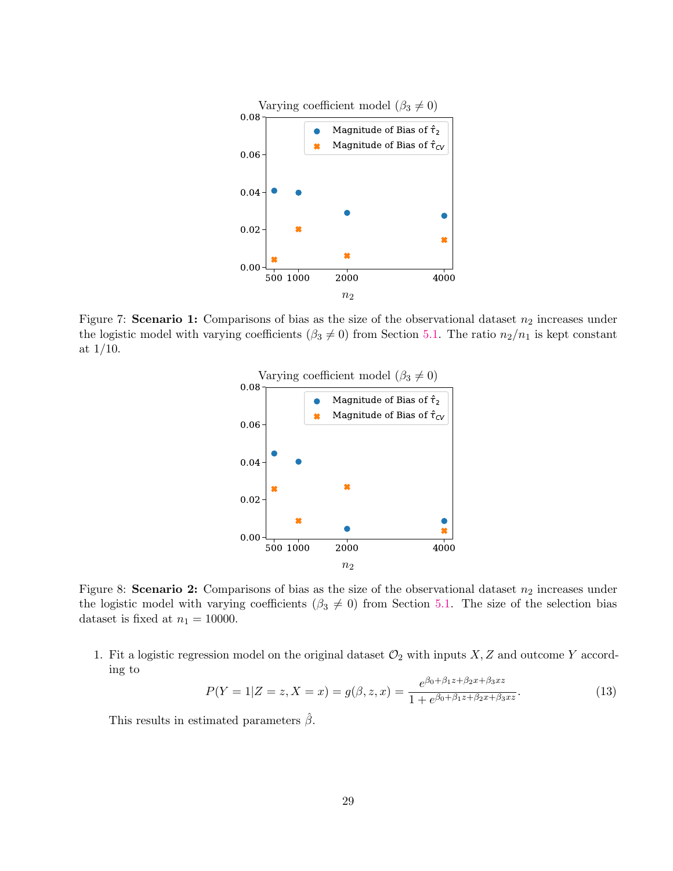

<span id="page-28-0"></span>Figure 7: Scenario 1: Comparisons of bias as the size of the observational dataset  $n_2$  increases under the logistic model with varying coefficients ( $\beta_3 \neq 0$ ) from Section [5.1.](#page-7-3) The ratio  $n_2/n_1$  is kept constant at  $1/10$ .



<span id="page-28-1"></span>Figure 8: Scenario 2: Comparisons of bias as the size of the observational dataset  $n_2$  increases under the logistic model with varying coefficients ( $\beta_3 \neq 0$ ) from Section [5.1.](#page-7-3) The size of the selection bias dataset is fixed at  $n_1 = 10000$ .

1. Fit a logistic regression model on the original dataset  $\mathcal{O}_2$  with inputs X, Z and outcome Y according to

$$
P(Y=1|Z=z,X=x) = g(\beta,z,x) = \frac{e^{\beta_0 + \beta_1 z + \beta_2 x + \beta_3 xz}}{1 + e^{\beta_0 + \beta_1 z + \beta_2 x + \beta_3 xz}}.
$$
(13)

This results in estimated parameters  $\hat{\beta}$ .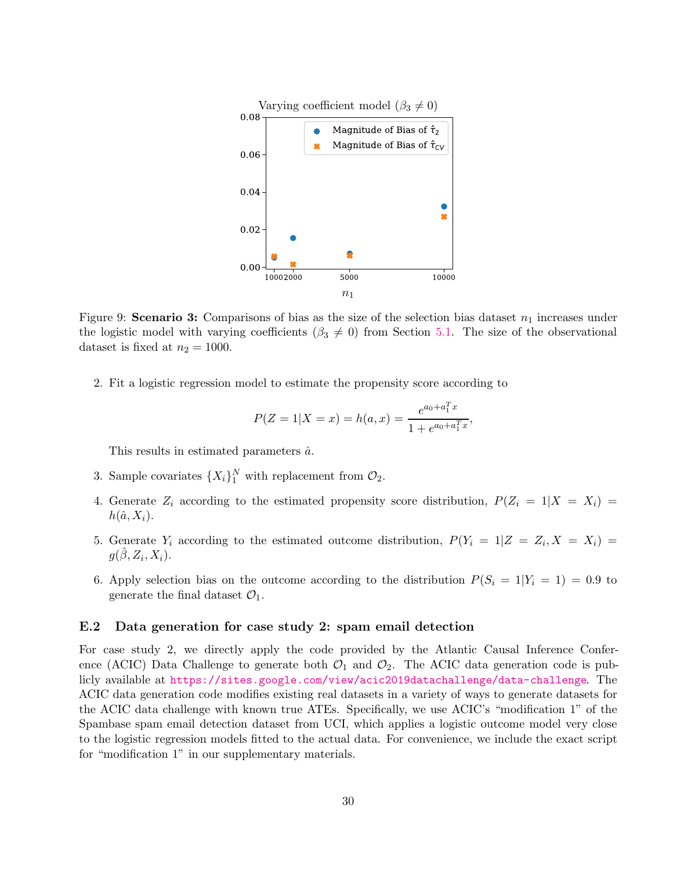

<span id="page-29-0"></span>Figure 9: Scenario 3: Comparisons of bias as the size of the selection bias dataset  $n_1$  increases under the logistic model with varying coefficients ( $\beta_3 \neq 0$ ) from Section [5.1.](#page-7-3) The size of the observational dataset is fixed at  $n_2 = 1000$ .

2. Fit a logistic regression model to estimate the propensity score according to

$$
P(Z = 1 | X = x) = h(a, x) = \frac{e^{a_0 + a_1^T x}}{1 + e^{a_0 + a_1^T x}},
$$

This results in estimated parameters  $\hat{a}$ .

- 3. Sample covariates  $\{X_i\}_1^N$  with replacement from  $\mathcal{O}_2$ .
- 4. Generate  $Z_i$  according to the estimated propensity score distribution,  $P(Z_i = 1 | X = X_i)$  $h(\hat{a}, X_i)$ .
- 5. Generate  $Y_i$  according to the estimated outcome distribution,  $P(Y_i = 1 | Z = Z_i, X = X_i)$  $g(\hat{\beta}, Z_i, X_i).$
- 6. Apply selection bias on the outcome according to the distribution  $P(S_i = 1|Y_i = 1) = 0.9$  to generate the final dataset  $\mathcal{O}_1$ .

### E.2 Data generation for case study 2: spam email detection

For case study 2, we directly apply the code provided by the Atlantic Causal Inference Conference (ACIC) Data Challenge to generate both  $\mathcal{O}_1$  and  $\mathcal{O}_2$ . The ACIC data generation code is publicly available at <https://sites.google.com/view/acic2019datachallenge/data-challenge>. The ACIC data generation code modifies existing real datasets in a variety of ways to generate datasets for the ACIC data challenge with known true ATEs. Specifically, we use ACIC's "modification 1" of the Spambase spam email detection dataset from UCI, which applies a logistic outcome model very close to the logistic regression models fitted to the actual data. For convenience, we include the exact script for "modification 1" in our supplementary materials.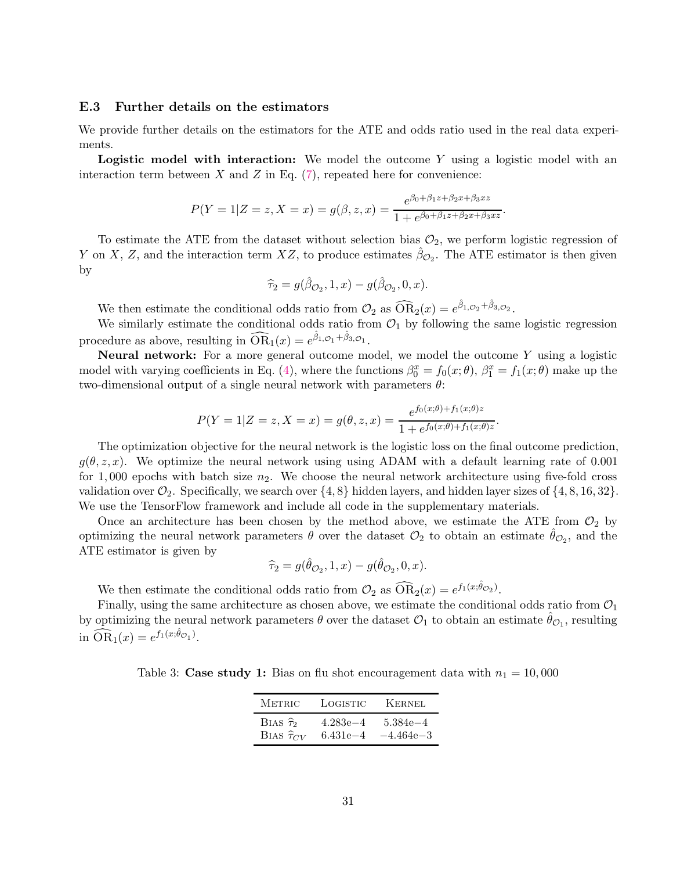### E.3 Further details on the estimators

We provide further details on the estimators for the ATE and odds ratio used in the real data experiments.

Logistic model with interaction: We model the outcome Y using a logistic model with an interaction term between  $X$  and  $Z$  in Eq. [\(7\)](#page-10-0), repeated here for convenience:

$$
P(Y = 1|Z = z, X = x) = g(\beta, z, x) = \frac{e^{\beta_0 + \beta_1 z + \beta_2 x + \beta_3 x z}}{1 + e^{\beta_0 + \beta_1 z + \beta_2 x + \beta_3 x z}}.
$$

To estimate the ATE from the dataset without selection bias  $\mathcal{O}_2$ , we perform logistic regression of Y on X, Z, and the interaction term  $XZ$ , to produce estimates  $\hat{\beta}_{\mathcal{O}_2}$ . The ATE estimator is then given by

$$
\widehat{\tau}_2 = g(\widehat{\beta}_{\mathcal{O}_2}, 1, x) - g(\widehat{\beta}_{\mathcal{O}_2}, 0, x).
$$

We then estimate the conditional odds ratio from  $\mathcal{O}_2$  as  $\widehat{OR}_2(x) = e^{\hat{\beta}_1 \circ 2 + \hat{\beta}_3 \circ 2}$ .

We similarly estimate the conditional odds ratio from  $\mathcal{O}_1$  by following the same logistic regression procedure as above, resulting in  $\widehat{\text{OR}}_1(x) = e^{\hat{\beta}_1 \circ \sigma_1 + \hat{\beta}_3 \circ \sigma_1}.$ 

Neural network: For a more general outcome model, we model the outcome Y using a logistic model with varying coefficients in Eq. [\(4\)](#page-6-0), where the functions  $\beta_0^x = f_0(x;\theta)$ ,  $\beta_1^x = f_1(x;\theta)$  make up the two-dimensional output of a single neural network with parameters  $\theta$ :

$$
P(Y = 1|Z = z, X = x) = g(\theta, z, x) = \frac{e^{f_0(x; \theta) + f_1(x; \theta)z}}{1 + e^{f_0(x; \theta) + f_1(x; \theta)z}}.
$$

The optimization objective for the neural network is the logistic loss on the final outcome prediction,  $g(\theta, z, x)$ . We optimize the neural network using using ADAM with a default learning rate of 0.001 for 1,000 epochs with batch size  $n_2$ . We choose the neural network architecture using five-fold cross validation over  $\mathcal{O}_2$ . Specifically, we search over  $\{4, 8\}$  hidden layers, and hidden layer sizes of  $\{4, 8, 16, 32\}$ . We use the TensorFlow framework and include all code in the supplementary materials.

Once an architecture has been chosen by the method above, we estimate the ATE from  $\mathcal{O}_2$  by optimizing the neural network parameters  $\theta$  over the dataset  $\mathcal{O}_2$  to obtain an estimate  $\hat{\theta}_{\mathcal{O}_2}$ , and the ATE estimator is given by

$$
\widehat{\tau}_2 = g(\widehat{\theta}_{\mathcal{O}_2}, 1, x) - g(\widehat{\theta}_{\mathcal{O}_2}, 0, x).
$$

We then estimate the conditional odds ratio from  $\mathcal{O}_2$  as  $\widehat{OR}_2(x) = e^{f_1(x;\hat{\theta}_{\mathcal{O}_2})}$ .

Finally, using the same architecture as chosen above, we estimate the conditional odds ratio from  $\mathcal{O}_1$ by optimizing the neural network parameters  $\theta$  over the dataset  $\mathcal{O}_1$  to obtain an estimate  $\hat{\theta}_{\mathcal{O}_1}$ , resulting in  $\widehat{\text{OR}}_1(x) = e^{f_1(x;\hat{\theta}_{\mathcal{O}_1})}$ .

<span id="page-30-0"></span>Table 3: Case study 1: Bias on flu shot encouragement data with  $n_1 = 10,000$ 

| <b>METRIC</b>          | LOGISTIC     | <b>KERNEL</b> |
|------------------------|--------------|---------------|
| BIAS $\hat{\tau}_2$    | $4.283e{-4}$ | $5.384e - 4$  |
| BIAS $\hat{\tau}_{CV}$ | $6.431e - 4$ | $-4.464e - 3$ |